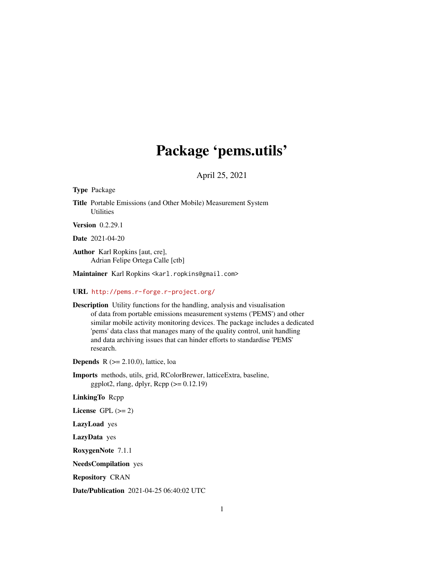# Package 'pems.utils'

April 25, 2021

<span id="page-0-0"></span>Type Package

Title Portable Emissions (and Other Mobile) Measurement System **Utilities** 

Version 0.2.29.1

Date 2021-04-20

Author Karl Ropkins [aut, cre], Adrian Felipe Ortega Calle [ctb]

Maintainer Karl Ropkins <karl.ropkins@gmail.com>

URL <http://pems.r-forge.r-project.org/>

Description Utility functions for the handling, analysis and visualisation of data from portable emissions measurement systems ('PEMS') and other similar mobile activity monitoring devices. The package includes a dedicated 'pems' data class that manages many of the quality control, unit handling and data archiving issues that can hinder efforts to standardise 'PEMS' research.

**Depends** R  $(>= 2.10.0)$ , lattice, loa

Imports methods, utils, grid, RColorBrewer, latticeExtra, baseline, ggplot2, rlang, dplyr,  $\text{Rcpp} (> = 0.12.19)$ 

LinkingTo Rcpp

License GPL  $(>= 2)$ 

LazyLoad yes

LazyData yes

RoxygenNote 7.1.1

NeedsCompilation yes

Repository CRAN

Date/Publication 2021-04-25 06:40:02 UTC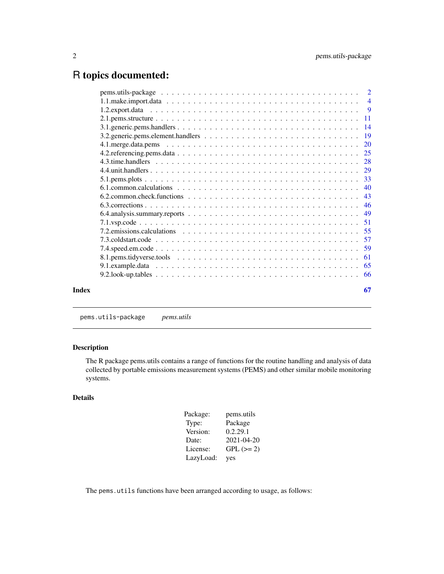## <span id="page-1-0"></span>R topics documented:

|       | 6.1. common. calculations $\ldots \ldots \ldots \ldots \ldots \ldots \ldots \ldots \ldots \ldots \ldots \ldots \ldots$ |    |
|-------|------------------------------------------------------------------------------------------------------------------------|----|
|       |                                                                                                                        |    |
|       |                                                                                                                        |    |
|       |                                                                                                                        |    |
|       |                                                                                                                        |    |
|       |                                                                                                                        |    |
|       |                                                                                                                        |    |
|       |                                                                                                                        |    |
|       |                                                                                                                        |    |
|       |                                                                                                                        |    |
|       |                                                                                                                        |    |
| Index |                                                                                                                        | 67 |
|       |                                                                                                                        |    |

pems.utils-package *pems.utils*

### Description

The R package pems.utils contains a range of functions for the routine handling and analysis of data collected by portable emissions measurement systems (PEMS) and other similar mobile monitoring systems.

### Details

| Package:  | pems.utils  |
|-----------|-------------|
| Type:     | Package     |
| Version:  | 0.2.29.1    |
| Date:     | 2021-04-20  |
| License:  | $GPL (= 2)$ |
| LazyLoad: | yes         |

The pems.utils functions have been arranged according to usage, as follows: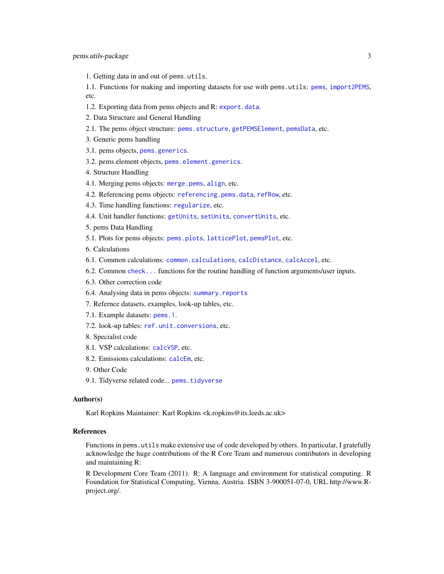<span id="page-2-0"></span>1. Getting data in and out of pems.utils.

1.1. Functions for making and importing datasets for use with pems.utils: [pems](#page-3-1), [import2PEMS](#page-3-1), etc.

- 1.2. Exporting data from pems objects and R: [export.data](#page-8-1).
- 2. Data Structure and General Handling
- 2.1. The pems object structure: [pems.structure](#page-10-1), [getPEMSElement](#page-10-1), [pemsData](#page-10-1), etc.
- 3. Generic pems handling
- 3.1. pems objects, [pems.generics](#page-13-1).
- 3.2. pems.element objects, [pems.element.generics](#page-18-1).
- 4. Structure Handling
- 4.1. Merging pems objects: [merge.pems](#page-19-1), [align](#page-19-1), etc.
- 4.2. Referencing pems objects: [referencing.pems.data](#page-24-1), [refRow](#page-24-1), etc.
- 4.3. Time handling functions: [regularize](#page-27-1), etc.
- 4.4. Unit handler functions: [getUnits](#page-28-1), [setUnits](#page-28-1), [convertUnits](#page-28-1), etc.
- 5. pems Data Handling
- 5.1. Plots for pems objects: [pems.plots](#page-32-1), [latticePlot](#page-32-1), [pemsPlot](#page-32-1), etc.
- 6. Calculations
- 6.1. Common calculations: [common.calculations](#page-39-1), [calcDistance](#page-39-1), [calcAccel](#page-39-1), etc.
- 6.2. Common [check...](#page-42-1) functions for the routine handling of function arguments/user inputs.
- 6.3. Other correction code
- 6.4. Analysing data in pems objects: [summary.reports](#page-48-1)
- 7. Refernce datasets, examples, look-up tables, etc.
- 7.1. Example datasets: [pems.1](#page-64-1).
- 7.2. look-up tables: [ref.unit.conversions](#page-65-1), etc.
- 8. Specialist code
- 8.1. VSP calculations: [calcVSP](#page-50-1), etc.
- 8.2. Emissions calculations: [calcEm](#page-54-1), etc.
- 9. Other Code
- 9.1. Tidyverse related code... [pems.tidyverse](#page-60-1)

### Author(s)

Karl Ropkins Maintainer: Karl Ropkins <k.ropkins@its.leeds.ac.uk>

### References

Functions in pems.utils make extensive use of code developed by others. In particular, I gratefully acknowledge the huge contributions of the R Core Team and numerous contributors in developing and maintaining R:

R Development Core Team (2011). R: A language and environment for statistical computing. R Foundation for Statistical Computing, Vienna, Austria. ISBN 3-900051-07-0, URL http://www.Rproject.org/.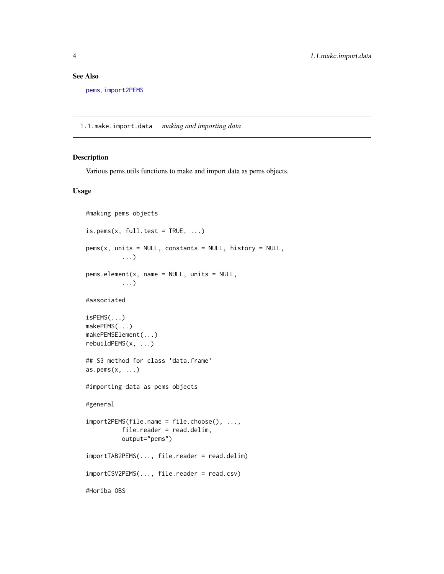### <span id="page-3-0"></span>See Also

```
pems, import2PEMS
```
1.1.make.import.data *making and importing data*

### <span id="page-3-1"></span>Description

Various pems.utils functions to make and import data as pems objects.

### Usage

```
#making pems objects
is.pems(x, full.test = TRUE, \ldots)
pems(x, units = NULL, constants = NULL, history = NULL,
          ...)
pems.element(x, name = NULL, units = NULL,
          ...)
#associated
isPEMS(...)
makePEMS(...)
makePEMSElement(...)
rebuildPEMS(x, ...)
## S3 method for class 'data.frame'
as.pems(x, \ldots)#importing data as pems objects
#general
import2PEMS(file.name = file.choose(), ...,
          file.reader = read.delim,
          output="pems")
importTAB2PEMS(..., file.reader = read.delim)
importCSV2PEMS(..., file.reader = read.csv)
#Horiba OBS
```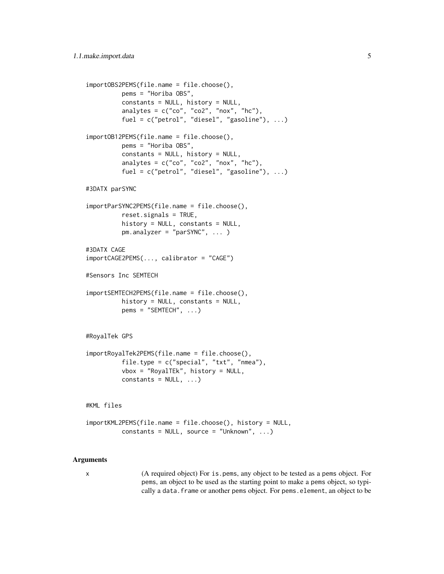```
importOBS2PEMS(file.name = file.choose(),
         pems = "Horiba OBS",
         constants = NULL, history = NULL,
         analytes = c("co", "co2", "nox", "hc"),
         fuel = c("petrol", "diesel", "gasoline"), ...)
importOB12PEMS(file.name = file.choose(),
         pems = "Horiba OBS",
         constants = NULL, history = NULL,
         analytes = c("co", "co2", "nox", "hc"),
         fuel = c("petrol", "diesel", "gasoline"), ...#3DATX parSYNC
importParSYNC2PEMS(file.name = file.choose(),
         reset.signals = TRUE,
         history = NULL, constants = NULL,
         pm.analyzer = "parSYNC", ... )
#3DATX CAGE
importCAGE2PEMS(..., calibrator = "CAGE")
#Sensors Inc SEMTECH
importSEMTECH2PEMS(file.name = file.choose(),
         history = NULL, constants = NULL,
         pems = "SEMTECH", ...)#RoyalTek GPS
importRoyalTek2PEMS(file.name = file.choose(),
         file.type = c("special", "txt", "nmea"),
         vbox = "RoyalTEk", history = NULL,
         constants = NULL, ...)#KML files
importKML2PEMS(file.name = file.choose(), history = NULL,
         constants = NULL, source = "Unknown", ...)
```
#### Arguments

x (A required object) For is.pems, any object to be tested as a pems object. For pems, an object to be used as the starting point to make a pems object, so typically a data. frame or another pems object. For pems. element, an object to be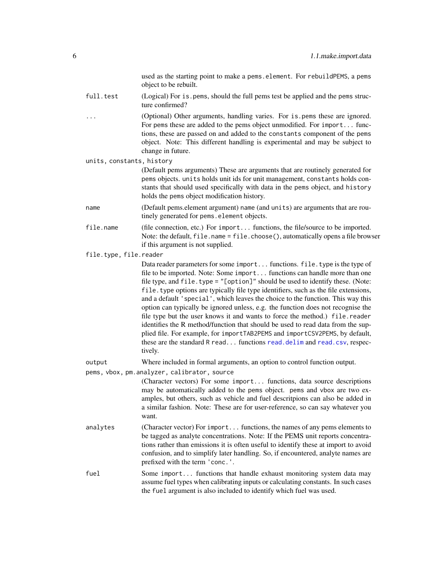used as the starting point to make a pems.element. For rebuildPEMS, a pems object to be rebuilt.

- <span id="page-5-0"></span>full.test (Logical) For is.pems, should the full pems test be applied and the pems structure confirmed?
- ... (Optional) Other arguments, handling varies. For is.pems these are ignored. For pems these are added to the pems object unmodified. For import... functions, these are passed on and added to the constants component of the pems object. Note: This different handling is experimental and may be subject to change in future.

units, constants, history

(Default pems arguments) These are arguments that are routinely generated for pems objects. units holds unit ids for unit management, constants holds constants that should used specifically with data in the pems object, and history holds the pems object modification history.

- name (Default pems.element argument) name (and units) are arguments that are routinely generated for pems.element objects.
- file.name (file connection, etc.) For import... functions, the file/source to be imported. Note: the default,  $file.name = file.close(), automatically opens a file browser$ if this argument is not supplied.

### file.type, file.reader

Data reader parameters for some import... functions. file.type is the type of file to be imported. Note: Some import... functions can handle more than one file type, and file.type = "[option]" should be used to identify these. (Note: file.type options are typically file type identifiers, such as the file extensions, and a default 'special', which leaves the choice to the function. This way this option can typically be ignored unless, e.g. the function does not recognise the file type but the user knows it and wants to force the method.) file.reader identifies the R method/function that should be used to read data from the supplied file. For example, for importTAB2PEMS and importCSV2PEMS, by default, these are the standard R read... functions [read.delim](#page-0-0) and [read.csv](#page-0-0), respectively.

output Where included in formal arguments, an option to control function output.

pems, vbox, pm.analyzer, calibrator, source

(Character vectors) For some import... functions, data source descriptions may be automatically added to the pems object. pems and vbox are two examples, but others, such as vehicle and fuel descritpions can also be added in a similar fashion. Note: These are for user-reference, so can say whatever you want.

- analytes (Character vector) For import... functions, the names of any pems elements to be tagged as analyte concentrations. Note: If the PEMS unit reports concentrations rather than emissions it is often useful to identify these at import to avoid confusion, and to simplify later handling. So, if encountered, analyte names are prefixed with the term 'conc.'.
- fuel Some import... functions that handle exhaust monitoring system data may assume fuel types when calibrating inputs or calculating constants. In such cases the fuel argument is also included to identify which fuel was used.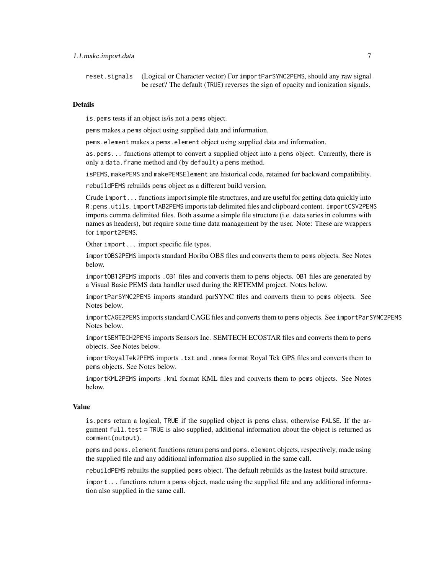reset.signals (Logical or Character vector) For importParSYNC2PEMS, should any raw signal be reset? The default (TRUE) reverses the sign of opacity and ionization signals.

#### Details

is.pems tests if an object is/is not a pems object.

pems makes a pems object using supplied data and information.

pems.element makes a pems.element object using supplied data and information.

as.pems... functions attempt to convert a supplied object into a pems object. Currently, there is only a data.frame method and (by default) a pems method.

isPEMS, makePEMS and makePEMSElement are historical code, retained for backward compatibility.

rebuildPEMS rebuilds pems object as a different build version.

Crude import... functions import simple file structures, and are useful for getting data quickly into R:pems.utils. importTAB2PEMS imports tab delimited files and clipboard content. importCSV2PEMS imports comma delimited files. Both assume a simple file structure (i.e. data series in columns with names as headers), but require some time data management by the user. Note: These are wrappers for import2PEMS.

Other import... import specific file types.

importOBS2PEMS imports standard Horiba OBS files and converts them to pems objects. See Notes below.

importOB12PEMS imports .OB1 files and converts them to pems objects. OB1 files are generated by a Visual Basic PEMS data handler used during the RETEMM project. Notes below.

importParSYNC2PEMS imports standard parSYNC files and converts them to pems objects. See Notes below.

importCAGE2PEMS imports standard CAGE files and converts them to pems objects. See importParSYNC2PEMS Notes below.

importSEMTECH2PEMS imports Sensors Inc. SEMTECH ECOSTAR files and converts them to pems objects. See Notes below.

importRoyalTek2PEMS imports .txt and .nmea format Royal Tek GPS files and converts them to pems objects. See Notes below.

importKML2PEMS imports .kml format KML files and converts them to pems objects. See Notes below.

#### Value

is.pems return a logical, TRUE if the supplied object is pems class, otherwise FALSE. If the argument full.test = TRUE is also supplied, additional information about the object is returned as comment(output).

pems and pems.element functions return pems and pems.element objects, respectively, made using the supplied file and any additional information also supplied in the same call.

rebuildPEMS rebuilts the supplied pems object. The default rebuilds as the lastest build structure.

import... functions return a pems object, made using the supplied file and any additional information also supplied in the same call.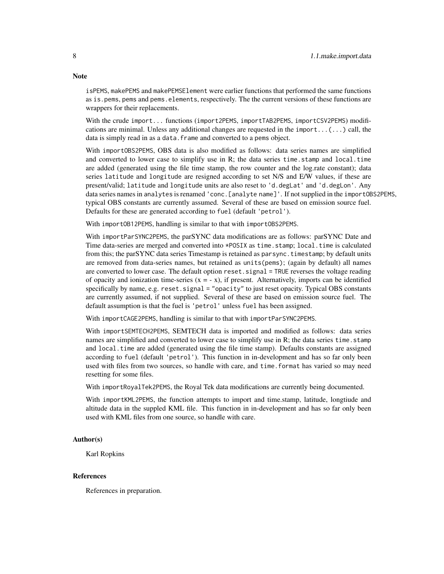isPEMS, makePEMS and makePEMSElement were earlier functions that performed the same functions as is.pems, pems and pems.elements, respectively. The the current versions of these functions are wrappers for their replacements.

With the crude import... functions (import2PEMS, importTAB2PEMS, importCSV2PEMS) modifications are minimal. Unless any additional changes are requested in the import... $(...)$  call, the data is simply read in as a data. frame and converted to a pems object.

With importOBS2PEMS, OBS data is also modified as follows: data series names are simplified and converted to lower case to simplify use in R; the data series time.stamp and local.time are added (generated using the file time stamp, the row counter and the log.rate constant); data series latitude and longitude are resigned according to set N/S and E/W values, if these are present/valid; latitude and longitude units are also reset to 'd.degLat' and 'd.degLon'. Any data series names in analytes is renamed 'conc.[analyte name]'. If not supplied in the importOBS2PEMS, typical OBS constants are currently assumed. Several of these are based on emission source fuel. Defaults for these are generated according to fuel (default 'petrol').

With importOB12PEMS, handling is similar to that with importOBS2PEMS.

With importParSYNC2PEMS, the parSYNC data modifications are as follows: parSYNC Date and Time data-series are merged and converted into \*POSIX as time.stamp; local.time is calculated from this; the parSYNC data series Timestamp is retained as parsync.timestamp; by default units are removed from data-series names, but retained as units(pems); (again by default) all names are converted to lower case. The default option reset.signal = TRUE reverses the voltage reading of opacity and ionization time-series  $(x = -x)$ , if present. Alternatively, imports can be identified specifically by name, e.g. reset. signal  $=$  "opacity" to just reset opacity. Typical OBS constants are currently assumed, if not supplied. Several of these are based on emission source fuel. The default assumption is that the fuel is 'petrol' unless fuel has been assigned.

With importCAGE2PEMS, handling is similar to that with importParSYNC2PEMS.

With importSEMTECH2PEMS, SEMTECH data is imported and modified as follows: data series names are simplified and converted to lower case to simplify use in R; the data series time.stamp and local.time are added (generated using the file time stamp). Defaults constants are assigned according to fuel (default 'petrol'). This function in in-development and has so far only been used with files from two sources, so handle with care, and time.format has varied so may need resetting for some files.

With importRoyalTek2PEMS, the Royal Tek data modifications are currently being documented.

With importKML2PEMS, the function attempts to import and time.stamp, latitude, longtiude and altitude data in the suppled KML file. This function in in-development and has so far only been used with KML files from one source, so handle with care.

#### Author(s)

Karl Ropkins

#### References

References in preparation.

### **Note**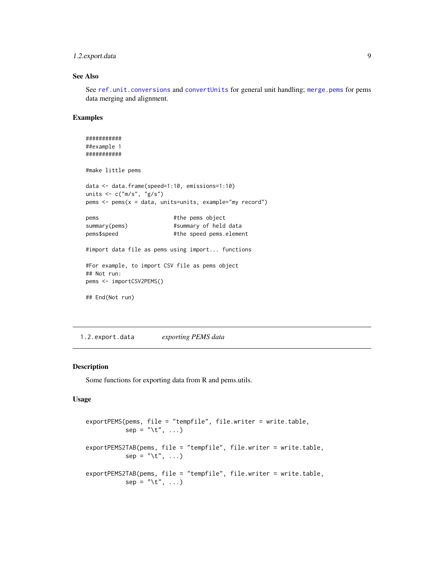### <span id="page-8-0"></span>1.2.export.data 9

### See Also

See [ref.unit.conversions](#page-65-1) and [convertUnits](#page-28-1) for general unit handling; [merge.pems](#page-19-1) for pems data merging and alignment.

#### Examples

```
###########
##example 1
###########
#make little pems
data <- data.frame(speed=1:10, emissions=1:10)
units <- c("m/s", "g/s")
pems <- pems(x = data, units=units, example="my record")
pems #the pems object
summary(pems) #summary of held data
pems$speed #the speed pems.element
#import data file as pems using import... functions
#For example, to import CSV file as pems object
## Not run:
pems <- importCSV2PEMS()
## End(Not run)
```
1.2.export.data *exporting PEMS data*

#### <span id="page-8-1"></span>Description

Some functions for exporting data from R and pems.utils.

#### Usage

```
exportPEMS(pems, file = "tempfile", file.writer = write.table,
          sep = "t", ...)exportPEMS2TAB(pems, file = "tempfile", file.writer = write.table,
          sep = "t", ...)exportPEMS2TAB(pems, file = "tempfile", file.writer = write.table,
          sep = "t", ...)
```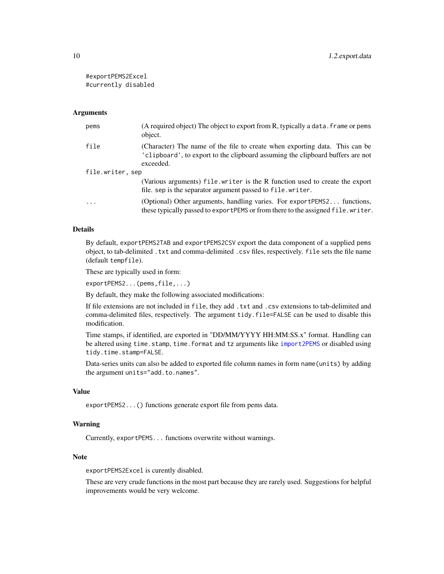<span id="page-9-0"></span>#exportPEMS2Excel #currently disabled

#### Arguments

| pems             | (A required object) The object to export from R, typically a data. frame or pems<br>object.                                                                                |
|------------------|----------------------------------------------------------------------------------------------------------------------------------------------------------------------------|
| file             | (Character) The name of the file to create when exporting data. This can be<br>'clipboard', to export to the clipboard assuming the clipboard buffers are not<br>exceeded. |
| file.writer, sep |                                                                                                                                                                            |
|                  | (Various arguments) file.writer is the R function used to create the export<br>file. sep is the separator argument passed to file. writer.                                 |
| $\cdots$         | (Optional) Other arguments, handling varies. For exportPEMS2 functions,<br>these typically passed to export PEMS or from there to the assigned file. writer.               |

### Details

By default, exportPEMS2TAB and exportPEMS2CSV export the data component of a supplied pems object, to tab-delimited .txt and comma-delimited .csv files, respectively. file sets the file name (default tempfile).

These are typically used in form:

exportPEMS2...(pems,file,...)

By default, they make the following associated modifications:

If file extensions are not included in file, they add .txt and .csv extensions to tab-delimited and comma-delimited files, respectively. The argument tidy.file=FALSE can be used to disable this modification.

Time stamps, if identified, are exported in "DD/MM/YYYY HH:MM:SS.x" format. Handling can be altered using time.stamp, time.format and tz arguments like [import2PEMS](#page-3-1) or disabled using tidy.time.stamp=FALSE.

Data-series units can also be added to exported file column names in form name(units) by adding the argument units="add.to.names".

#### Value

exportPEMS2...() functions generate export file from pems data.

### Warning

Currently, exportPEMS... functions overwrite without warnings.

### Note

exportPEMS2Excel is curently disabled.

These are very crude functions in the most part because they are rarely used. Suggestions for helpful improvements would be very welcome.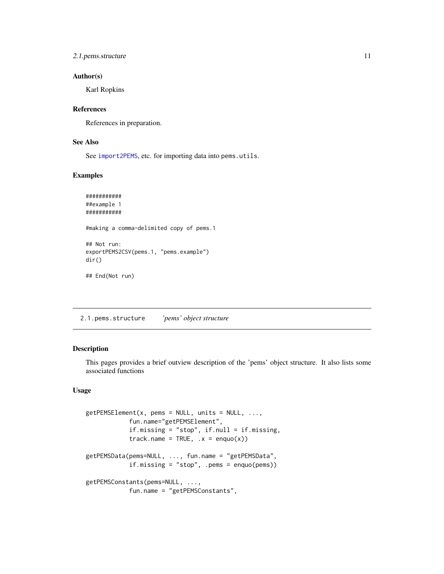### <span id="page-10-0"></span>2.1. pems. structure 11

### Author(s)

Karl Ropkins

### References

References in preparation.

### See Also

See [import2PEMS](#page-3-1), etc. for importing data into pems.utils.

### Examples

```
###########
##example 1
###########
#making a comma-delimited copy of pems.1
## Not run:
exportPEMS2CSV(pems.1, "pems.example")
dir()
## End(Not run)
```
2.1.pems.structure *'pems' object structure*

### <span id="page-10-1"></span>Description

This pages provides a brief outview description of the 'pems' object structure. It also lists some associated functions

### Usage

```
getPEMSElement(x, pems = NULL, units = NULL, ...fun.name="getPEMSElement",
            if.missing = "stop", if.null = if.missing,
            track.name = TRUE, .x = \text{enquo}(x))
getPEMSData(pems=NULL, ..., fun.name = "getPEMSData",
            if.missing = "stop", .pems = enquo(pems))
getPEMSConstants(pems=NULL, ...,
            fun.name = "getPEMSConstants",
```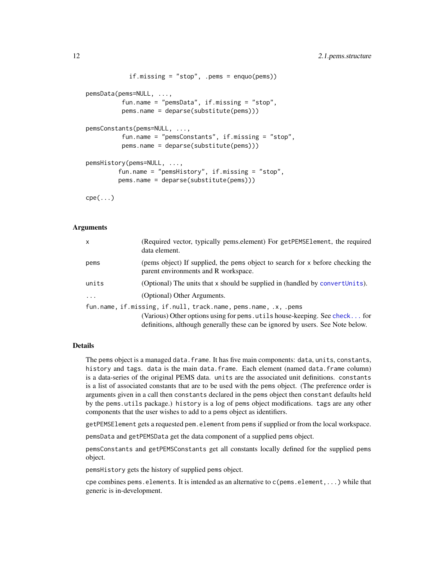```
if.missing = "stop", .pems = enquo(pems))
pemsData(pems=NULL, ...,
         fun.name = "pemsData", if.missing = "stop",
         pems.name = deparse(substitute(pems)))
pemsConstants(pems=NULL, ...,
         fun.name = "pemsConstants", if.missing = "stop",
         pems.name = deparse(substitute(pems)))
pemsHistory(pems=NULL, ...,
         fun.name = "pemsHistory", if.missing = "stop",
        pems.name = deparse(substitute(pems)))
```
cpe(...)

### Arguments

| x        | (Required vector, typically pems.element) For getPEMSE1ement, the required<br>data element.                            |
|----------|------------------------------------------------------------------------------------------------------------------------|
| pems     | (pems object) If supplied, the pems object to search for x before checking the<br>parent environments and R workspace. |
| units    | (Optional) The units that x should be supplied in (handled by convertUnits).                                           |
| $\cdots$ | (Optional) Other Arguments.                                                                                            |
|          | fun.name, if.missing, if.null, track.name, pems.name, .x, .pems                                                        |
|          | (Various) Other options using for pems. utils house-keeping. See check for                                             |
|          | definitions, although generally these can be ignored by users. See Note below.                                         |

#### Details

The pems object is a managed data.frame. It has five main components: data, units, constants, history and tags. data is the main data.frame. Each element (named data.frame column) is a data-series of the original PEMS data. units are the associated unit definitions. constants is a list of associated constants that are to be used with the pems object. (The preference order is arguments given in a call then constants declared in the pems object then constant defaults held by the pems.utils package.) history is a log of pems object modifications. tags are any other components that the user wishes to add to a pems object as identifiers.

getPEMSElement gets a requested pem.element from pems if supplied or from the local workspace.

pemsData and getPEMSData get the data component of a supplied pems object.

pemsConstants and getPEMSConstants get all constants locally defined for the supplied pems object.

pemsHistory gets the history of supplied pems object.

cpe combines pems. elements. It is intended as an alternative to  $c$  (pems. element,...) while that generic is in-development.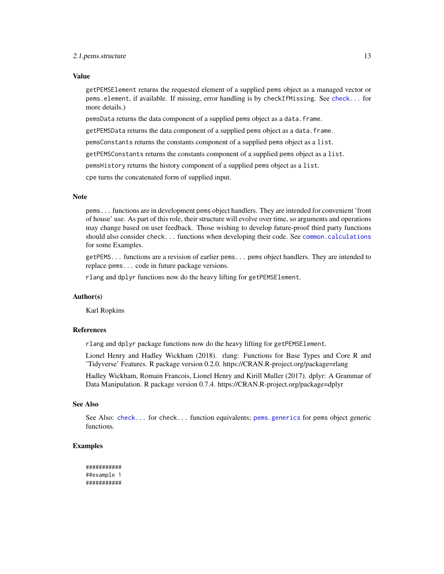#### <span id="page-12-0"></span>2.1. pems.structure 13

### Value

getPEMSElement returns the requested element of a supplied pems object as a managed vector or pems.element, if available. If missing, error handling is by checkIfMissing. See [check...](#page-42-1) for more details.)

pemsData returns the data component of a supplied pems object as a data.frame.

getPEMSData returns the data component of a supplied pems object as a data.frame.

pemsConstants returns the constants component of a supplied pems object as a list.

getPEMSConstants returns the constants component of a supplied pems object as a list.

pemsHistory returns the history component of a supplied pems object as a list.

cpe turns the concatenated form of supplied input.

#### Note

pems... functions are in development pems object handlers. They are intended for convenient 'front of house' use. As part of this role, their structure will evolve over time, so arguments and operations may change based on user feedback. Those wishing to develop future-proof third party functions should also consider check... functions when developing their code. See [common.calculations](#page-39-1) for some Examples.

getPEMS... functions are a revision of earlier pems... pems object handlers. They are intended to replace pems... code in future package versions.

rlang and dplyr functions now do the heavy lifting for getPEMSElement.

#### Author(s)

Karl Ropkins

#### References

rlang and dplyr package functions now do the heavy lifting for getPEMSElement.

Lionel Henry and Hadley Wickham (2018). rlang: Functions for Base Types and Core R and 'Tidyverse' Features. R package version 0.2.0. https://CRAN.R-project.org/package=rlang

Hadley Wickham, Romain Francois, Lionel Henry and Kirill Muller (2017). dplyr: A Grammar of Data Manipulation. R package version 0.7.4. https://CRAN.R-project.org/package=dplyr

### See Also

See Also: [check...](#page-42-1) for check... function equivalents; [pems.generics](#page-13-1) for pems object generic functions.

### Examples

```
###########
##example 1
###########
```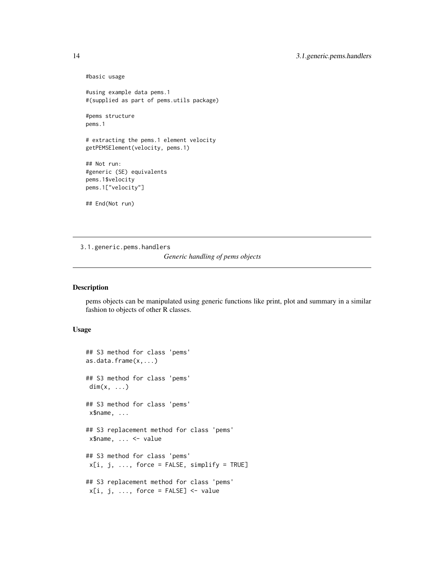```
#basic usage
#using example data pems.1
#(supplied as part of pems.utils package)
#pems structure
pems.1
# extracting the pems.1 element velocity
getPEMSElement(velocity, pems.1)
## Not run:
#generic (SE) equivalents
pems.1$velocity
pems.1["velocity"]
## End(Not run)
```
3.1.generic.pems.handlers

*Generic handling of pems objects*

### <span id="page-13-1"></span>Description

pems objects can be manipulated using generic functions like print, plot and summary in a similar fashion to objects of other R classes.

### Usage

```
## S3 method for class 'pems'
as.data.frame(x,...)
## S3 method for class 'pems'
dim(x, \ldots)## S3 method for class 'pems'
x$name, ...
## S3 replacement method for class 'pems'
x$name, ... <- value
## S3 method for class 'pems'
x[i, j, ..., force = FALSE, simplify = TRUE]
## S3 replacement method for class 'pems'
x[i, j, ..., force = FALSE] <- value
```
<span id="page-13-0"></span>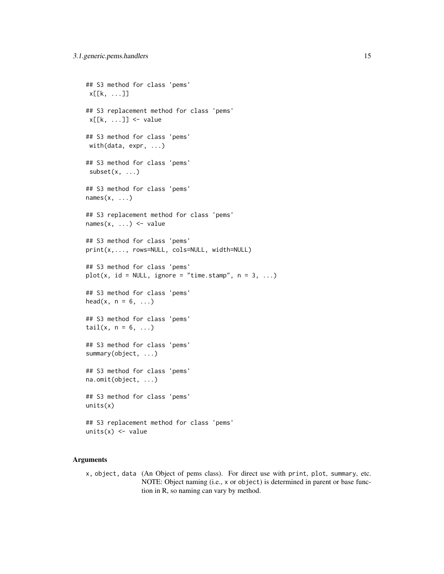```
## S3 method for class 'pems'
x[[k, \ldots]]## S3 replacement method for class 'pems'
x[[k, ...]] <- value
## S3 method for class 'pems'
with(data, expr, ...)
## S3 method for class 'pems'
subset(x, \ldots)## S3 method for class 'pems'
names(x, \ldots)## S3 replacement method for class 'pems'
names(x, ...) \leftarrow value## S3 method for class 'pems'
print(x,..., rows=NULL, cols=NULL, width=NULL)
## S3 method for class 'pems'
plot(x, id = NULL, ignore = "time.stamp", n = 3, ...)## S3 method for class 'pems'
head(x, n = 6, \ldots)
## S3 method for class 'pems'
tail(x, n = 6, ...)## S3 method for class 'pems'
summary(object, ...)
## S3 method for class 'pems'
na.omit(object, ...)
## S3 method for class 'pems'
units(x)
## S3 replacement method for class 'pems'
units(x) < - value
```
### Arguments

x, object, data (An Object of pems class). For direct use with print, plot, summary, etc. NOTE: Object naming (i.e., x or object) is determined in parent or base function in R, so naming can vary by method.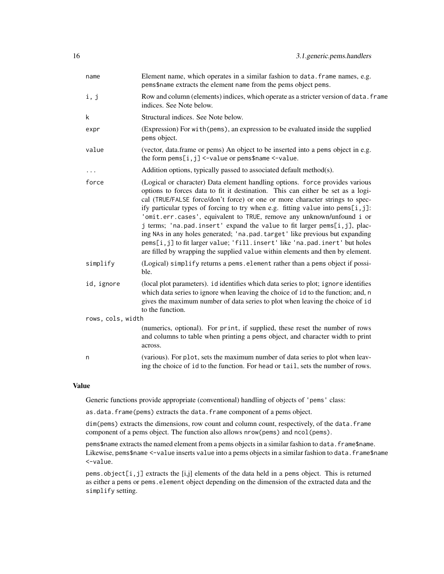| name              | Element name, which operates in a similar fashion to data. frame names, e.g.<br>pems\$name extracts the element name from the pems object pems.                                                                                                                                                                                                                                                                                                                                                                                                                                                                                                                                                                                       |
|-------------------|---------------------------------------------------------------------------------------------------------------------------------------------------------------------------------------------------------------------------------------------------------------------------------------------------------------------------------------------------------------------------------------------------------------------------------------------------------------------------------------------------------------------------------------------------------------------------------------------------------------------------------------------------------------------------------------------------------------------------------------|
| i, j              | Row and column (elements) indices, which operate as a stricter version of data. frame<br>indices. See Note below.                                                                                                                                                                                                                                                                                                                                                                                                                                                                                                                                                                                                                     |
| k                 | Structural indices. See Note below.                                                                                                                                                                                                                                                                                                                                                                                                                                                                                                                                                                                                                                                                                                   |
| expr              | (Expression) For with (pems), an expression to be evaluated inside the supplied<br>pems object.                                                                                                                                                                                                                                                                                                                                                                                                                                                                                                                                                                                                                                       |
| value             | (vector, data.frame or pems) An object to be inserted into a pems object in e.g.<br>the form $pems[i, j] < -value$ or $pems $name < -value$ .                                                                                                                                                                                                                                                                                                                                                                                                                                                                                                                                                                                         |
| .                 | Addition options, typically passed to associated default method(s).                                                                                                                                                                                                                                                                                                                                                                                                                                                                                                                                                                                                                                                                   |
| force             | (Logical or character) Data element handling options. force provides various<br>options to forces data to fit it destination. This can either be set as a logi-<br>cal (TRUE/FALSE force/don't force) or one or more character strings to spec-<br>ify particular types of forcing to try when e.g. fitting value into pems[i,j]:<br>'omit.err.cases', equivalent to TRUE, remove any unknown/unfound i or<br>j terms; 'na.pad.insert' expand the value to fit larger pems[i,j], plac-<br>ing NAs in any holes generated; 'na.pad.target' like previous but expanding<br>pems[i,j] to fit larger value; 'fill.insert' like 'na.pad.inert' but holes<br>are filled by wrapping the supplied value within elements and then by element. |
| simplify          | (Logical) simplify returns a pems. element rather than a pems object if possi-<br>ble.                                                                                                                                                                                                                                                                                                                                                                                                                                                                                                                                                                                                                                                |
| id, ignore        | (local plot parameters). id identifies which data series to plot; ignore identifies<br>which data series to ignore when leaving the choice of id to the function; and, n<br>gives the maximum number of data series to plot when leaving the choice of id<br>to the function.                                                                                                                                                                                                                                                                                                                                                                                                                                                         |
| rows, cols, width |                                                                                                                                                                                                                                                                                                                                                                                                                                                                                                                                                                                                                                                                                                                                       |
|                   | (numerics, optional). For print, if supplied, these reset the number of rows<br>and columns to table when printing a pems object, and character width to print<br>across.                                                                                                                                                                                                                                                                                                                                                                                                                                                                                                                                                             |
| n                 | (various). For plot, sets the maximum number of data series to plot when leav-<br>ing the choice of id to the function. For head or tail, sets the number of rows.                                                                                                                                                                                                                                                                                                                                                                                                                                                                                                                                                                    |

### Value

Generic functions provide appropriate (conventional) handling of objects of 'pems' class:

as.data.frame(pems) extracts the data.frame component of a pems object.

dim(pems) extracts the dimensions, row count and column count, respectively, of the data.frame component of a pems object. The function also allows nrow(pems) and ncol(pems).

pems\$name extracts the named element from a pems objects in a similar fashion to data.frame\$name. Likewise, pems\$name <-value inserts value into a pems objects in a similar fashion to data. frame\$name <-value.

pems.object[i,j] extracts the [i,j] elements of the data held in a pems object. This is returned as either a pems or pems. element object depending on the dimension of the extracted data and the simplify setting.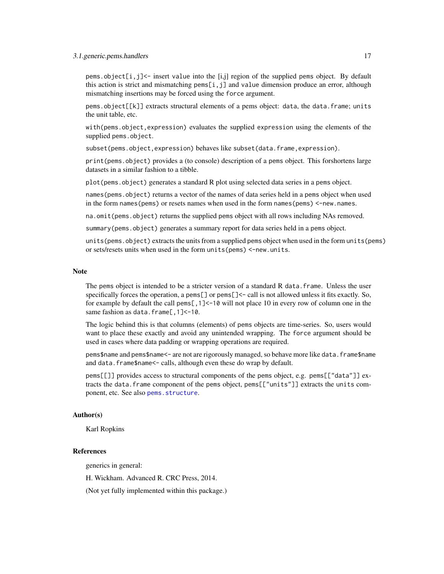#### <span id="page-16-0"></span>3.1.generic.pems.handlers 17

pems.object[i,j]<- insert value into the [i,j] region of the supplied pems object. By default this action is strict and mismatching pems[i, j] and value dimension produce an error, although mismatching insertions may be forced using the force argument.

pems.object[[k]] extracts structural elements of a pems object: data, the data.frame; units the unit table, etc.

with(pems.object,expression) evaluates the supplied expression using the elements of the supplied pems.object.

subset(pems.object,expression) behaves like subset(data.frame,expression).

print(pems.object) provides a (to console) description of a pems object. This forshortens large datasets in a similar fashion to a tibble.

plot(pems.object) generates a standard R plot using selected data series in a pems object.

names(pems.object) returns a vector of the names of data series held in a pems object when used in the form names(pems) or resets names when used in the form names(pems) <-new.names.

na.omit(pems.object) returns the supplied pems object with all rows including NAs removed.

summary(pems.object) generates a summary report for data series held in a pems object.

units(pems.object) extracts the units from a supplied pems object when used in the form units(pems) or sets/resets units when used in the form units(pems) <-new.units.

#### Note

The pems object is intended to be a stricter version of a standard R data. frame. Unless the user specifically forces the operation, a pems $\lceil \cdot \rceil$  or pems $\lceil \cdot \rceil$  call is not allowed unless it fits exactly. So, for example by default the call pems[,1]<-10 will not place 10 in every row of column one in the same fashion as data.frame[, 1] <-10.

The logic behind this is that columns (elements) of pems objects are time-series. So, users would want to place these exactly and avoid any unintended wrapping. The force argument should be used in cases where data padding or wrapping operations are required.

pems\$name and pems\$name<- are not are rigorously managed, so behave more like data.frame\$name and data.frame\$name<- calls, although even these do wrap by default.

pems[[]] provides access to structural components of the pems object, e.g. pems[["data"]] extracts the data.frame component of the pems object, pems[["units"]] extracts the units component, etc. See also [pems.structure](#page-10-1).

### Author(s)

Karl Ropkins

### References

generics in general:

H. Wickham. Advanced R. CRC Press, 2014.

(Not yet fully implemented within this package.)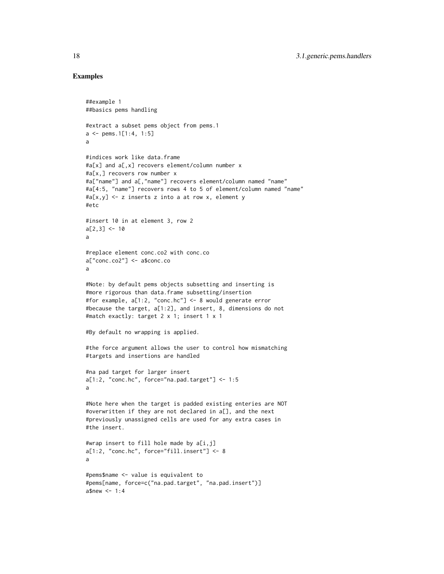### Examples

```
##example 1
##basics pems handling
#extract a subset pems object from pems.1
a \leq pems. 1[1:4, 1:5]
a
#indices work like data.frame
#a[x] and a[,x] recovers element/column number x
#a[x,] recovers row number x
#a["name"] and a[,"name"] recovers element/column named "name"
#a[4:5, "name"] recovers rows 4 to 5 of element/column named "name"
#a[x,y] <- z inserts z into a at row x, element y
#etc
#insert 10 in at element 3, row 2
a[2,3] < -10a
#replace element conc.co2 with conc.co
a["conc.co2"] <- a$conc.co
a
#Note: by default pems objects subsetting and inserting is
#more rigorous than data.frame subsetting/insertion
#for example, a[1:2, "conc.hc"] <- 8 would generate error
#because the target, a[1:2], and insert, 8, dimensions do not
#match exactly: target 2 x 1; insert 1 x 1
#By default no wrapping is applied.
#the force argument allows the user to control how mismatching
#targets and insertions are handled
#na pad target for larger insert
a[1:2, "conc.hc", force="na.pad.target"] < -1:5a
#Note here when the target is padded existing enteries are NOT
#overwritten if they are not declared in a[], and the next
#previously unassigned cells are used for any extra cases in
#the insert.
#wrap insert to fill hole made by a[i,j]
a[1:2, "conc.hc", force="fill.insert"] <- 8
a
#pems$name <- value is equivalent to
#pems[name, force=c("na.pad.target", "na.pad.insert")]
a$new < -1:4
```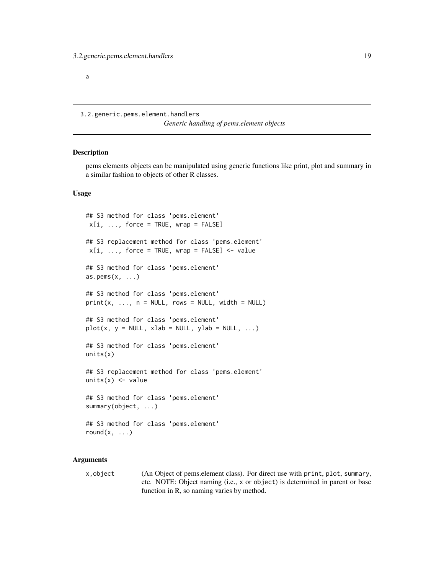<span id="page-18-0"></span>a

3.2.generic.pems.element.handlers

*Generic handling of pems.element objects*

#### <span id="page-18-1"></span>Description

pems elements objects can be manipulated using generic functions like print, plot and summary in a similar fashion to objects of other R classes.

### Usage

```
## S3 method for class 'pems.element'
x[i, ..., force = TRUE, wrap = FALSE]## S3 replacement method for class 'pems.element'
x[i, ..., force = TRUE, wrap = FALSE] <- value
## S3 method for class 'pems.element'
as.pems(x, \ldots)## S3 method for class 'pems.element'
print(x, ..., n = NULL, rows = NULL, width = NULL)## S3 method for class 'pems.element'
plot(x, y = NULL, xlab = NULL, ylab = NULL, ...)## S3 method for class 'pems.element'
units(x)
## S3 replacement method for class 'pems.element'
units(x) < - value## S3 method for class 'pems.element'
summary(object, ...)
## S3 method for class 'pems.element'
round(x, \ldots)
```
### Arguments

x,object (An Object of pems.element class). For direct use with print, plot, summary, etc. NOTE: Object naming (i.e., x or object) is determined in parent or base function in R, so naming varies by method.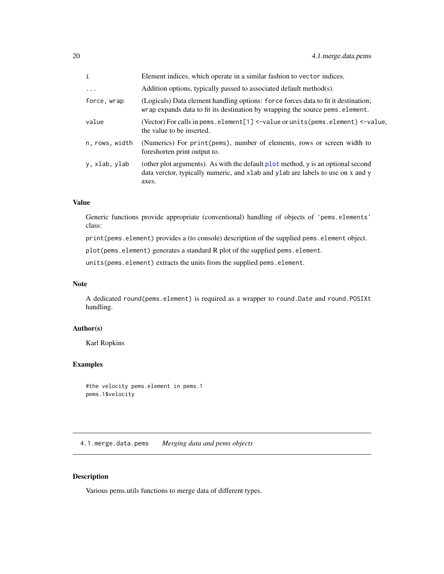<span id="page-19-0"></span>

| $\mathbf{i}$   | Element indices, which operate in a similar fashion to vector indices.                                                                                                       |
|----------------|------------------------------------------------------------------------------------------------------------------------------------------------------------------------------|
| $\cdots$       | Addition options, typically passed to associated default method(s).                                                                                                          |
| force, wrap    | (Logicals) Data element handling options: force forces data to fit it destination;<br>wrap expands data to fit its destination by wrapping the source pems. element.         |
| value          | (Vector) For calls in pems. element $[1]$ <-value or units (pems. element) <-value.<br>the value to be inserted.                                                             |
| n, rows, width | (Numerics) For print (pems), number of elements, rows or screen width to<br>foreshorten print output to.                                                                     |
| y, xlab, ylab  | (other plot arguments). As with the default plot method, y is an optional second<br>data verctor, typically numeric, and xlab and ylab are labels to use on x and y<br>axes. |

### Value

Generic functions provide appropriate (conventional) handling of objects of 'pems.elements' class:

print(pems.element) provides a (to console) description of the supplied pems.element object.

plot(pems.element) generates a standard R plot of the supplied pems.element.

units(pems.element) extracts the units from the supplied pems.element.

### Note

A dedicated round(pems.element) is required as a wrapper to round.Date and round.POSIXt handling.

### Author(s)

Karl Ropkins

### Examples

```
#the velocity pems.element in pems.1
pems.1$velocity
```
4.1.merge.data.pems *Merging data and pems objects*

### <span id="page-19-1"></span>Description

Various pems.utils functions to merge data of different types.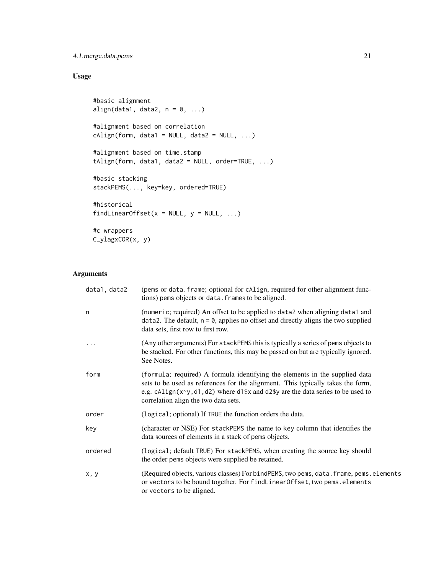### 4.1.merge.data.pems 21

### Usage

```
#basic alignment
align(data1, data2, n = 0, ...)
#alignment based on correlation
children(form, data1 = NULL, data2 = NULL, ...)#alignment based on time.stamp
tAlign(form, data1, data2 = NULL, order=TRUE, ...)
#basic stacking
stackPEMS(..., key=key, ordered=TRUE)
#historical
findLinearOffset(x = NULL, y = NULL, ...)
#c wrappers
```
C\_ylagxCOR(x, y)

### Arguments

| data1, data2 | (pems or data. frame; optional for cAlign, required for other alignment func-<br>tions) pems objects or data. frames to be aligned.                                                                                                                                                        |
|--------------|--------------------------------------------------------------------------------------------------------------------------------------------------------------------------------------------------------------------------------------------------------------------------------------------|
| n            | (numeric; required) An offset to be applied to data2 when aligning data1 and<br>$data2$ . The default, $n = 0$ , applies no offset and directly aligns the two supplied<br>data sets, first row to first row.                                                                              |
|              | (Any other arguments) For stackPEMS this is typically a series of pems objects to<br>be stacked. For other functions, this may be passed on but are typically ignored.<br>See Notes.                                                                                                       |
| form         | (formula; required) A formula identifying the elements in the supplied data<br>sets to be used as references for the alignment. This typically takes the form,<br>e.g. cAlign(x~y, d1, d2) where d1\$x and d2\$y are the data series to be used to<br>correlation align the two data sets. |
| order        | (logical; optional) If TRUE the function orders the data.                                                                                                                                                                                                                                  |
| key          | (character or NSE) For stackPEMS the name to key column that identifies the<br>data sources of elements in a stack of pems objects.                                                                                                                                                        |
| ordered      | (logical; default TRUE) For stackPEMS, when creating the source key should<br>the order pems objects were supplied be retained.                                                                                                                                                            |
| x, y         | (Required objects, various classes) For bindPEMS, two pems, data. frame, pems. elements<br>or vectors to be bound together. For findLinearOffset, two pems.elements<br>or vectors to be aligned.                                                                                           |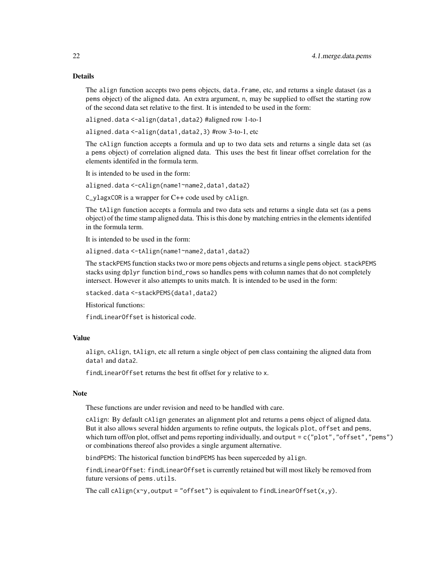### Details

The align function accepts two pems objects, data.frame, etc, and returns a single dataset (as a pems object) of the aligned data. An extra argument, n, may be supplied to offset the starting row of the second data set relative to the first. It is intended to be used in the form:

aligned.data <-align(data1,data2) #aligned row 1-to-1

aligned.data <-align(data1,data2,3) #row 3-to-1, etc

The cAlign function accepts a formula and up to two data sets and returns a single data set (as a pems object) of correlation aligned data. This uses the best fit linear offset correlation for the elements identifed in the formula term.

It is intended to be used in the form:

aligned.data <-cAlign(name1~name2,data1,data2)

C\_ylagxCOR is a wrapper for C++ code used by cAlign.

The tAlign function accepts a formula and two data sets and returns a single data set (as a pems object) of the time stamp aligned data. This is this done by matching entries in the elements identifed in the formula term.

It is intended to be used in the form:

aligned.data <-tAlign(name1~name2,data1,data2)

The stackPEMS function stacks two or more pems objects and returns a single pems object. stackPEMS stacks using dplyr function bind\_rows so handles pems with column names that do not completely intersect. However it also attempts to units match. It is intended to be used in the form:

stacked.data <-stackPEMS(data1,data2)

Historical functions:

findLinearOffset is historical code.

### Value

align, cAlign, tAlign, etc all return a single object of pem class containing the aligned data from data1 and data2.

findLinearOffset returns the best fit offset for y relative to x.

#### **Note**

These functions are under revision and need to be handled with care.

cAlign: By default cAlign generates an alignment plot and returns a pems object of aligned data. But it also allows several hidden arguments to refine outputs, the logicals plot, offset and pems, which turn off/on plot, offset and pems reporting individually, and output = c("plot","offset","pems") or combinations thereof also provides a single argument alternative.

bindPEMS: The historical function bindPEMS has been superceded by align.

findLinearOffset: findLinearOffset is currently retained but will most likely be removed from future versions of pems.utils.

The call cAlign(x~y, output = "offset") is equivalent to findLinearOffset(x,y).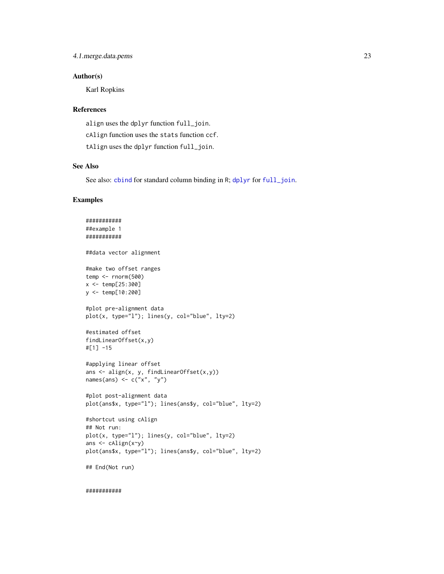### <span id="page-22-0"></span>Author(s)

Karl Ropkins

### References

align uses the dplyr function full\_join. cAlign function uses the stats function ccf. tAlign uses the dplyr function full\_join.

#### See Also

See also: [cbind](#page-0-0) for standard column binding in R; [dplyr](#page-0-0) for [full\\_join](#page-60-1).

### Examples

```
###########
##example 1
###########
##data vector alignment
#make two offset ranges
temp <- rnorm(500)
x <- temp[25:300]
y <- temp[10:200]
#plot pre-alignment data
plot(x, type="l"); lines(y, col="blue", lty=2)
#estimated offset
findLinearOffset(x,y)
#[1] -15#applying linear offset
ans <- align(x, y, findLinearOffset(x,y))
names(ans) <- c("x", "y")
#plot post-alignment data
plot(ans$x, type="l"); lines(ans$y, col="blue", lty=2)
#shortcut using cAlign
## Not run:
plot(x, type="l"); lines(y, col="blue", lty=2)
ans <- cAlign(x~y)
plot(ans$x, type="l"); lines(ans$y, col="blue", lty=2)
## End(Not run)
```
###########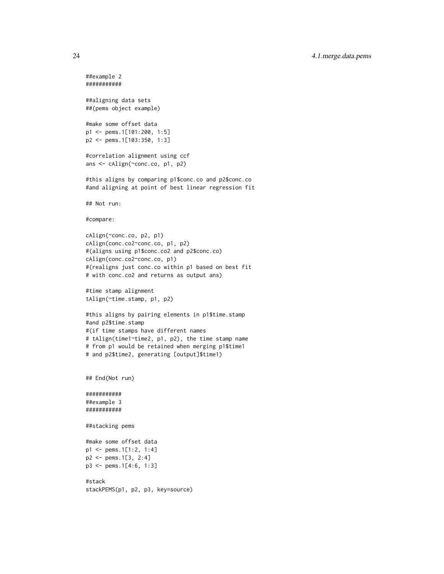```
##example 2
###########
##aligning data sets
##(pems object example)
#make some offset data
p1 <- pems.1[101:200, 1:5]
p2 <- pems.1[103:350, 1:3]
#correlation alignment using ccf
ans <- cAlign(~conc.co, p1, p2)
#this aligns by comparing p1$conc.co and p2$conc.co
#and aligning at point of best linear regression fit
## Not run:
#compare:
cAlign(~conc.co, p2, p1)
cAlign(conc.co2~conc.co, p1, p2)
#(aligns using p1$conc.co2 and p2$conc.co)
cAlign(conc.co2~conc.co, p1)
#(realigns just conc.co within p1 based on best fit
# with conc.co2 and returns as output ans)
#time stamp alignment
tAlign(~time.stamp, p1, p2)
#this aligns by pairing elements in p1$time.stamp
#and p2$time.stamp
#(if time stamps have different names
# tAlign(time1~time2, p1, p2), the time stamp name
# from p1 would be retained when merging p1$time1
# and p2$time2, generating [output]$time1)
## End(Not run)
###########
##example 3
###########
##stacking pems
#make some offset data
p1 <- pems.1[1:2, 1:4]
p2 <- pems.1[3, 2:4]
p3 <- pems.1[4:6, 1:3]
#stack
stackPEMS(p1, p2, p3, key=source)
```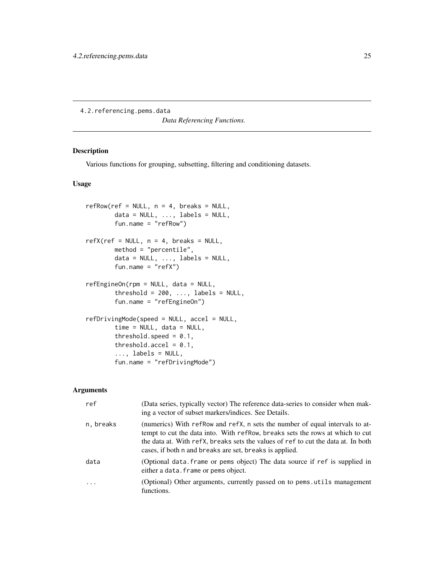<span id="page-24-0"></span>4.2.referencing.pems.data

*Data Referencing Functions.*

### <span id="page-24-1"></span>Description

Various functions for grouping, subsetting, filtering and conditioning datasets.

### Usage

```
refRow(ref = NULL, n = 4, breaks = NULL,data = NULL, ..., labels = NULL,fun.name = "refRow")
refX(ref = NULL, n = 4, breaks = NULL,method = "percentile",
       data = NULL, ..., labels = NULL,fun.name = "refX")refEngineOn(rpm = NULL, data = NULL,
       threshold = 200, \ldots, labels = NULL,
       fun.name = "refEngineOn")
refDrivingMode(speed = NULL, accel = NULL,
       time = NULL, data = NULL,
       threshold.speed = 0.1,
       threshold.accel = 0.1,
        \ldots, labels = NULL,
       fun.name = "refDrivingMode")
```
### Arguments

| ref       | (Data series, typically vector) The reference data-series to consider when mak-<br>ing a vector of subset markers/indices. See Details.                                                                                                                                                                       |
|-----------|---------------------------------------------------------------------------------------------------------------------------------------------------------------------------------------------------------------------------------------------------------------------------------------------------------------|
| n, breaks | (numerics) With refRow and refX, n sets the number of equal intervals to at-<br>tempt to cut the data into. With refrom, breaks sets the rows at which to cut<br>the data at. With refX, breaks sets the values of ref to cut the data at. In both<br>cases, if both n and breaks are set, breaks is applied. |
| data      | (Optional data. frame or pems object) The data source if ref is supplied in<br>either a data. frame or pems object.                                                                                                                                                                                           |
| .         | (Optional) Other arguments, currently passed on to pems utils management<br>functions.                                                                                                                                                                                                                        |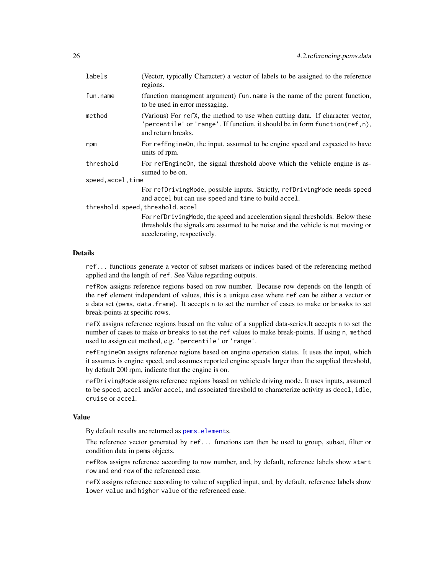<span id="page-25-0"></span>

| (Vector, typically Character) a vector of labels to be assigned to the reference<br>regions.                                                                                                    |  |  |
|-------------------------------------------------------------------------------------------------------------------------------------------------------------------------------------------------|--|--|
| (function managment argument) fun. name is the name of the parent function,<br>to be used in error messaging.                                                                                   |  |  |
| (Various) For refX, the method to use when cutting data. If character vector,<br>'percentile' or 'range'. If function, it should be in form function (ref, n),<br>and return breaks.            |  |  |
| For refengine on, the input, assumed to be engine speed and expected to have<br>units of rpm.                                                                                                   |  |  |
| For refEngineOn, the signal threshold above which the vehicle engine is as-<br>sumed to be on.                                                                                                  |  |  |
| speed, accel, time                                                                                                                                                                              |  |  |
| For refDrivingMode, possible inputs. Strictly, refDrivingMode needs speed<br>and accel but can use speed and time to build accel.                                                               |  |  |
| threshold.speed, threshold.accel                                                                                                                                                                |  |  |
| For refDrivingMode, the speed and acceleration signal thresholds. Below these<br>thresholds the signals are assumed to be noise and the vehicle is not moving or<br>accelerating, respectively. |  |  |
|                                                                                                                                                                                                 |  |  |

### Details

ref... functions generate a vector of subset markers or indices based of the referencing method applied and the length of ref. See Value regarding outputs.

refRow assigns reference regions based on row number. Because row depends on the length of the ref element independent of values, this is a unique case where ref can be either a vector or a data set (pems, data.frame). It accepts n to set the number of cases to make or breaks to set break-points at specific rows.

refX assigns reference regions based on the value of a supplied data-series.It accepts n to set the number of cases to make or breaks to set the ref values to make break-points. If using n, method used to assign cut method, e.g. 'percentile' or 'range'.

refEngineOn assigns reference regions based on engine operation status. It uses the input, which it assumes is engine speed, and assumes reported engine speeds larger than the supplied threshold, by default 200 rpm, indicate that the engine is on.

refDrivingMode assigns reference regions based on vehicle driving mode. It uses inputs, assumed to be speed, accel and/or accel, and associated threshold to characterize activity as decel, idle, cruise or accel.

#### Value

By default results are returned as [pems.element](#page-3-1)s.

The reference vector generated by ref... functions can then be used to group, subset, filter or condition data in pems objects.

refRow assigns reference according to row number, and, by default, reference labels show start row and end row of the referenced case.

refX assigns reference according to value of supplied input, and, by default, reference labels show lower value and higher value of the referenced case.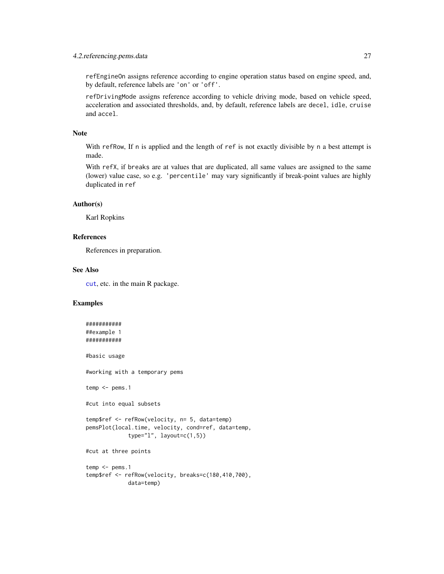### <span id="page-26-0"></span>4.2.referencing.pems.data 27

refEngineOn assigns reference according to engine operation status based on engine speed, and, by default, reference labels are 'on' or 'off'.

refDrivingMode assigns reference according to vehicle driving mode, based on vehicle speed, acceleration and associated thresholds, and, by default, reference labels are decel, idle, cruise and accel.

### Note

With refRow, If n is applied and the length of ref is not exactly divisible by n a best attempt is made.

With refX, if breaks are at values that are duplicated, all same values are assigned to the same (lower) value case, so e.g. 'percentile' may vary significantly if break-point values are highly duplicated in ref

### Author(s)

Karl Ropkins

### References

References in preparation.

#### See Also

[cut](#page-0-0), etc. in the main R package.

### Examples

```
###########
##example 1
###########
#basic usage
#working with a temporary pems
temp < -pems.1#cut into equal subsets
temp$ref <- refRow(velocity, n= 5, data=temp)
pemsPlot(local.time, velocity, cond=ref, data=temp,
             type="1", \text{ layout}=(1,5))#cut at three points
temp < -pems.1temp$ref <- refRow(velocity, breaks=c(180,410,700),
             data=temp)
```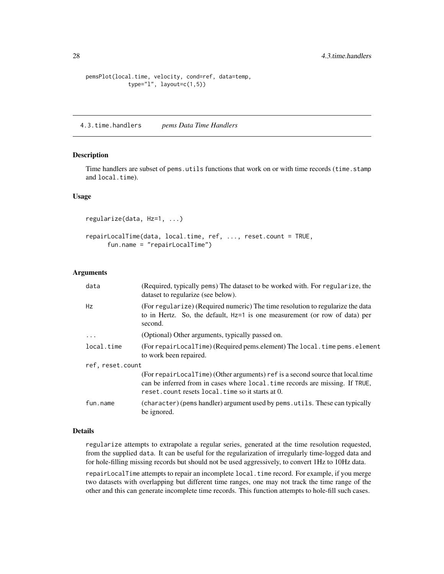```
pemsPlot(local.time, velocity, cond=ref, data=temp,
              type="1", \text{ layout}=(1,5))
```
4.3.time.handlers *pems Data Time Handlers*

### <span id="page-27-1"></span>Description

Time handlers are subset of pems.utils functions that work on or with time records (time.stamp and local.time).

### Usage

```
regularize(data, Hz=1, ...)
repairLocalTime(data, local.time, ref, ..., reset.count = TRUE,
     fun.name = "repairLocalTime")
```
#### Arguments

| data             | (Required, typically pems) The dataset to be worked with. For regularize, the<br>dataset to regularize (see below).                                                                                                |
|------------------|--------------------------------------------------------------------------------------------------------------------------------------------------------------------------------------------------------------------|
| Hz               | (For regularize) (Required numeric) The time resolution to regularize the data<br>to in Hertz. So, the default, Hz=1 is one measurement (or row of data) per<br>second.                                            |
| .                | (Optional) Other arguments, typically passed on.                                                                                                                                                                   |
| local.time       | (For repairLocalTime) (Required pems.element) The local.time pems.element<br>to work been repaired.                                                                                                                |
| ref, reset.count |                                                                                                                                                                                                                    |
|                  | (For repairLocalTime) (Other arguments) ref is a second source that local time<br>can be inferred from in cases where local time records are missing. If TRUE,<br>reset.count resets local.time so it starts at 0. |
| fun.name         | (character) (pems handler) argument used by pems. utils. These can typically<br>be ignored.                                                                                                                        |

### Details

regularize attempts to extrapolate a regular series, generated at the time resolution requested, from the supplied data. It can be useful for the regularization of irregularly time-logged data and for hole-filling missing records but should not be used aggressively, to convert 1Hz to 10Hz data.

repairLocalTime attempts to repair an incomplete local.time record. For example, if you merge two datasets with overlapping but different time ranges, one may not track the time range of the other and this can generate incomplete time records. This function attempts to hole-fill such cases.

<span id="page-27-0"></span>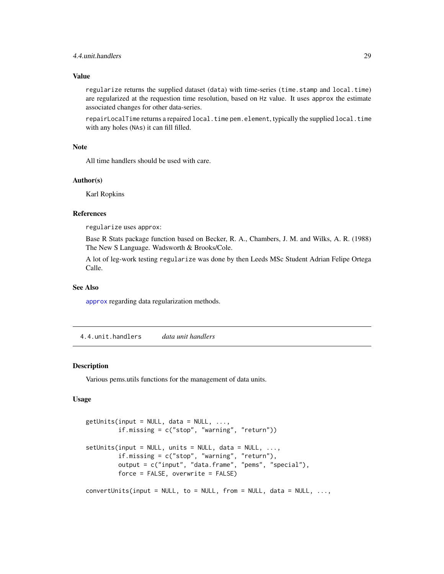### <span id="page-28-0"></span>Value

regularize returns the supplied dataset (data) with time-series (time.stamp and local.time) are regularized at the requestion time resolution, based on Hz value. It uses approx the estimate associated changes for other data-series.

repairLocalTime returns a repaired local.time pem.element, typically the supplied local.time with any holes (NAs) it can fill filled.

#### Note

All time handlers should be used with care.

### Author(s)

Karl Ropkins

### References

regularize uses approx:

Base R Stats package function based on Becker, R. A., Chambers, J. M. and Wilks, A. R. (1988) The New S Language. Wadsworth & Brooks/Cole.

A lot of leg-work testing regularize was done by then Leeds MSc Student Adrian Felipe Ortega Calle.

### See Also

[approx](#page-0-0) regarding data regularization methods.

4.4.unit.handlers *data unit handlers*

#### <span id="page-28-1"></span>**Description**

Various pems.utils functions for the management of data units.

### Usage

```
getUnits(input = NULL, data = NULL, ...,if.missing = c("stop", "warning", "return"))
setUnits(input = NULL, units = NULL, data = NULL, ...if.missing = c("stop", "warning", "return"),
         output = c("input", "data.frame", "pems", "special"),
         force = FALSE, overwrite = FALSE)
convert Units(input = NULL, to = NULL, from = NULL, data = NULL, ...
```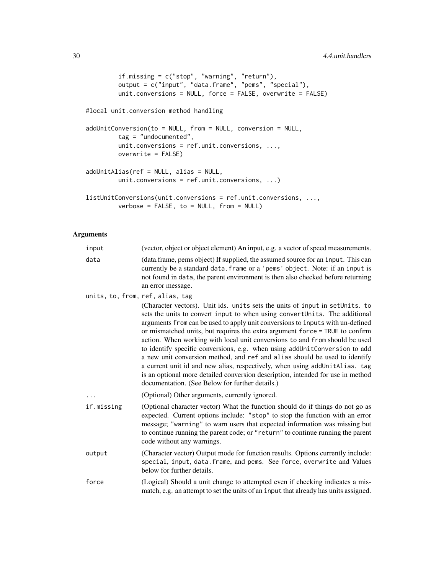```
if.missing = c("stop", "warning", "return"),
         output = c("input", "data.frame", "pems", "special"),
        unit.conversions = NULL, force = FALSE, overwrite = FALSE)
#local unit.conversion method handling
addUnitConversion(to = NULL, from = NULL, conversion = NULL,
         tag = "undocumented",
        unit.conversions = ref.unit.conversions, ...,
        overwrite = FALSE)
addUnitAlias(ref = NULL, alias = NULL,
        unit.conversions = ref.unit.conversions, ...)
listUnitConversions(unit.conversions = ref.unit.conversions, ...,
        verbose = FALSE, to = NULL, from = NULL)
```
### Arguments

| input                            | (vector, object or object element) An input, e.g. a vector of speed measurements.                                                                                                                                                                                                                                                                                                                                                                                                                                                                                                                                                                                                                                                                                                            |
|----------------------------------|----------------------------------------------------------------------------------------------------------------------------------------------------------------------------------------------------------------------------------------------------------------------------------------------------------------------------------------------------------------------------------------------------------------------------------------------------------------------------------------------------------------------------------------------------------------------------------------------------------------------------------------------------------------------------------------------------------------------------------------------------------------------------------------------|
| data                             | (data.frame, pems object) If supplied, the assumed source for an input. This can<br>currently be a standard data. frame or a 'pems' object. Note: if an input is<br>not found in data, the parent environment is then also checked before returning<br>an error message.                                                                                                                                                                                                                                                                                                                                                                                                                                                                                                                     |
| units, to, from, ref, alias, tag | (Character vectors). Unit ids. units sets the units of input in setUnits. to<br>sets the units to convert input to when using convertUnits. The additional<br>arguments from can be used to apply unit conversions to inputs with un-defined<br>or mismatched units, but requires the extra argument force = TRUE to confirm<br>action. When working with local unit conversions to and from should be used<br>to identify specific conversions, e.g. when using addUnitConversion to add<br>a new unit conversion method, and ref and alias should be used to identify<br>a current unit id and new alias, respectively, when using addUnitAlias. tag<br>is an optional more detailed conversion description, intended for use in method<br>documentation. (See Below for further details.) |
|                                  | (Optional) Other arguments, currently ignored.                                                                                                                                                                                                                                                                                                                                                                                                                                                                                                                                                                                                                                                                                                                                               |
| if.missing                       | (Optional character vector) What the function should do if things do not go as<br>expected. Current options include: "stop" to stop the function with an error<br>message; "warning" to warn users that expected information was missing but<br>to continue running the parent code; or "return" to continue running the parent<br>code without any warnings.                                                                                                                                                                                                                                                                                                                                                                                                                                |
| output                           | (Character vector) Output mode for function results. Options currently include:<br>special, input, data. frame, and pems. See force, overwrite and Values<br>below for further details.                                                                                                                                                                                                                                                                                                                                                                                                                                                                                                                                                                                                      |
| force                            | (Logical) Should a unit change to attempted even if checking indicates a mis-<br>match, e.g. an attempt to set the units of an input that already has units assigned.                                                                                                                                                                                                                                                                                                                                                                                                                                                                                                                                                                                                                        |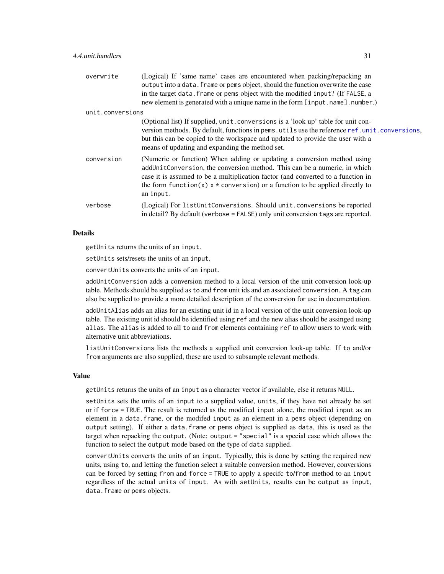<span id="page-30-0"></span>

| overwrite        | (Logical) If 'same name' cases are encountered when packing/repacking an<br>output into a data. frame or pems object, should the function overwrite the case<br>in the target data. frame or pems object with the modified input? (If FALSE, a<br>new element is generated with a unique name in the form [input.name].number.)         |
|------------------|-----------------------------------------------------------------------------------------------------------------------------------------------------------------------------------------------------------------------------------------------------------------------------------------------------------------------------------------|
| unit.conversions |                                                                                                                                                                                                                                                                                                                                         |
|                  | (Optional list) If supplied, unit . conversions is a 'look up' table for unit con-<br>version methods. By default, functions in pems. utils use the reference ref. unit. conversions,<br>but this can be copied to the workspace and updated to provide the user with a<br>means of updating and expanding the method set.              |
| conversion       | (Numeric or function) When adding or updating a conversion method using<br>addUnitConversion, the conversion method. This can be a numeric, in which<br>case it is assumed to be a multiplication factor (and converted to a function in<br>the form function(x) $x *$ conversion) or a function to be applied directly to<br>an input. |
| verbose          | (Logical) For listUnitConversions. Should unit.conversions be reported<br>in detail? By default (verbose = FALSE) only unit conversion tags are reported.                                                                                                                                                                               |
|                  |                                                                                                                                                                                                                                                                                                                                         |

### Details

getUnits returns the units of an input.

setUnits sets/resets the units of an input.

convertUnits converts the units of an input.

addUnitConversion adds a conversion method to a local version of the unit conversion look-up table. Methods should be supplied as to and from unit ids and an associated conversion. A tag can also be supplied to provide a more detailed description of the conversion for use in documentation.

addUnitAlias adds an alias for an existing unit id in a local version of the unit conversion look-up table. The existing unit id should be identified using ref and the new alias should be assinged using alias. The alias is added to all to and from elements containing ref to allow users to work with alternative unit abbreviations.

listUnitConversions lists the methods a supplied unit conversion look-up table. If to and/or from arguments are also supplied, these are used to subsample relevant methods.

#### Value

getUnits returns the units of an input as a character vector if available, else it returns NULL.

setUnits sets the units of an input to a supplied value, units, if they have not already be set or if force = TRUE. The result is returned as the modified input alone, the modified input as an element in a data.frame, or the modifed input as an element in a pems object (depending on output setting). If either a data.frame or pems object is supplied as data, this is used as the target when repacking the output. (Note: output = "special" is a special case which allows the function to select the output mode based on the type of data supplied.

convertUnits converts the units of an input. Typically, this is done by setting the required new units, using to, and letting the function select a suitable conversion method. However, conversions can be forced by setting from and force = TRUE to apply a specifc to/from method to an input regardless of the actual units of input. As with setUnits, results can be output as input, data.frame or pems objects.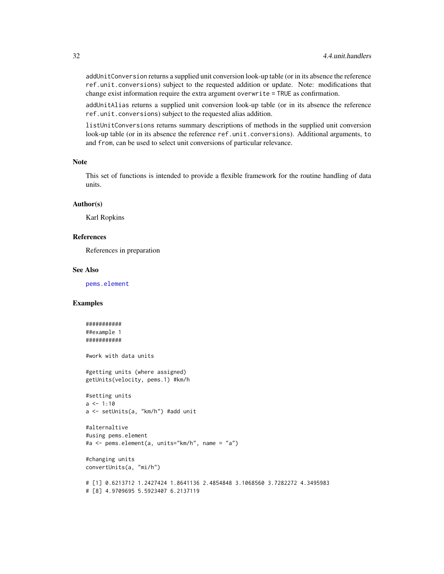<span id="page-31-0"></span>addUnitConversion returns a supplied unit conversion look-up table (or in its absence the reference ref.unit.conversions) subject to the requested addition or update. Note: modifications that change exist information require the extra argument overwrite = TRUE as confirmation.

addUnitAlias returns a supplied unit conversion look-up table (or in its absence the reference ref.unit.conversions) subject to the requested alias addition.

listUnitConversions returns summary descriptions of methods in the supplied unit conversion look-up table (or in its absence the reference ref.unit.conversions). Additional arguments, to and from, can be used to select unit conversions of particular relevance.

#### Note

This set of functions is intended to provide a flexible framework for the routine handling of data units.

### Author(s)

Karl Ropkins

#### References

References in preparation

#### See Also

[pems.element](#page-3-1)

### Examples

```
###########
##example 1
###########
#work with data units
#getting units (where assigned)
getUnits(velocity, pems.1) #km/h
#setting units
a \le -1:10a <- setUnits(a, "km/h") #add unit
#alternaltive
#using pems.element
#a <- pems.element(a, units="km/h", name = "a")
#changing units
convertUnits(a, "mi/h")
# [1] 0.6213712 1.2427424 1.8641136 2.4854848 3.1068560 3.7282272 4.3495983
# [8] 4.9709695 5.5923407 6.2137119
```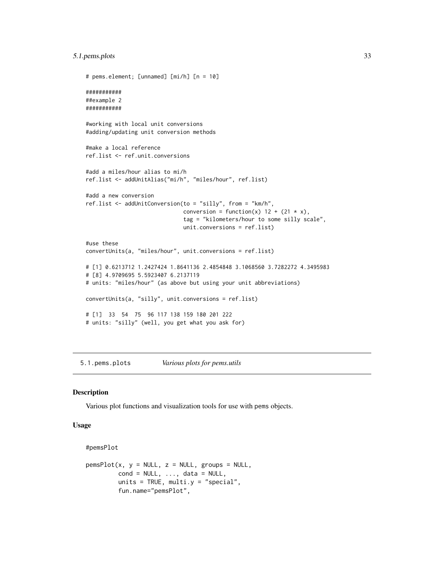### <span id="page-32-0"></span>5.1.pems.plots 33

```
# pems.element; [unnamed] [mi/h] [n = 10]
###########
##example 2
###########
#working with local unit conversions
#adding/updating unit conversion methods
#make a local reference
ref.list <- ref.unit.conversions
#add a miles/hour alias to mi/h
ref.list <- addUnitAlias("mi/h", "miles/hour", ref.list)
#add a new conversion
ref.list <- addUnitConversion(to = "silly", from = "km/h",
                              conversion = function(x) 12 + (21 \times x),
                              tag = "kilometers/hour to some silly scale",
                              unit.conversions = ref.list)
#use these
convertUnits(a, "miles/hour", unit.conversions = ref.list)
# [1] 0.6213712 1.2427424 1.8641136 2.4854848 3.1068560 3.7282272 4.3495983
# [8] 4.9709695 5.5923407 6.2137119
# units: "miles/hour" (as above but using your unit abbreviations)
convertUnits(a, "silly", unit.conversions = ref.list)
# [1] 33 54 75 96 117 138 159 180 201 222
# units: "silly" (well, you get what you ask for)
```
5.1.pems.plots *Various plots for pems.utils*

#### <span id="page-32-1"></span>Description

Various plot functions and visualization tools for use with pems objects.

### Usage

```
#pemsPlot
```

```
pemsPlot(x, y = NULL, z = NULL, groups = NULL,cond = NULL, ..., data = NULL,units = TRUE, multi.y = "special",
        fun.name="pemsPlot",
```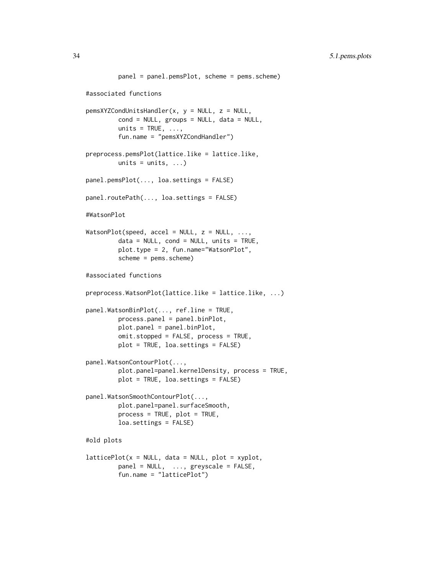```
panel = panel.pemsPlot, scheme = pems.scheme)
#associated functions
pemsXYZCondUnitsHandler(x, y = NULL, z = NULL,
         cond = NULL, groups = NULL, data = NULL,
         units = TRUE, \ldots,fun.name = "pemsXYZCondHandler")
preprocess.pemsPlot(lattice.like = lattice.like,
        units = units, \ldots)
panel.pemsPlot(..., loa.settings = FALSE)
panel.routePath(..., loa.settings = FALSE)
#WatsonPlot
WatsonPlot(speed, accel = NULL, z = NULL, ...data = NULL, cond = NULL, units = TRUE,plot.type = 2, fun.name="WatsonPlot",
         scheme = pems.scheme)
#associated functions
preprocess.WatsonPlot(lattice.like = lattice.like, ...)
panel.WatsonBinPlot(..., ref.line = TRUE,
         process.panel = panel.binPlot,
        plot.panel = panel.binPlot,
         omit.stopped = FALSE, process = TRUE,
         plot = TRUE, loa.settings = FALSE)
panel.WatsonContourPlot(...,
         plot.panel=panel.kernelDensity, process = TRUE,
         plot = TRUE, loa.settings = FALSE)
panel.WatsonSmoothContourPlot(...,
         plot.panel=panel.surfaceSmooth,
         process = TRUE, plot = TRUE,
         loa.settings = FALSE)
#old plots
latticePlot(x = NULL, data = NULL, plot = xyplot,panel = NULL, ..., greyscale = FALSE,fun.name = "latticePlot")
```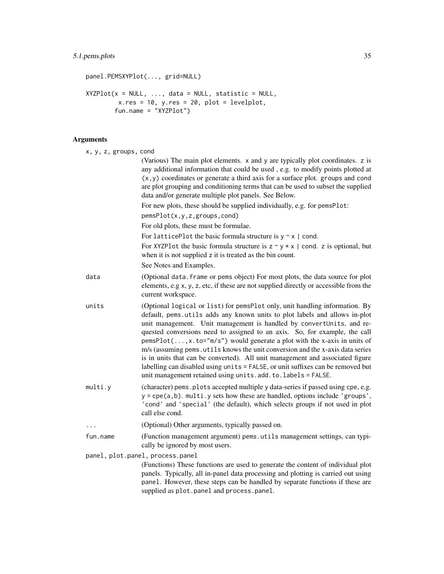### 5.1.pems.plots 35

```
panel.PEMSXYPlot(..., grid=NULL)
XYZPlot(x = NULL, ..., data = NULL, statistic = NULL,x.res = 10, y.res = 20, plot = levelplot,
        fun.name = \overline{Y}XYZPlot")
```
### Arguments

| x, y, z, groups, cond            |                                                                                                                                                                                                                                                                                                                                                                                                                                                                                                                                                                                                                                                                                                                   |  |
|----------------------------------|-------------------------------------------------------------------------------------------------------------------------------------------------------------------------------------------------------------------------------------------------------------------------------------------------------------------------------------------------------------------------------------------------------------------------------------------------------------------------------------------------------------------------------------------------------------------------------------------------------------------------------------------------------------------------------------------------------------------|--|
|                                  | (Various) The main plot elements. x and y are typically plot coordinates. z is<br>any additional information that could be used, e.g. to modify points plotted at<br>$(x, y)$ coordinates or generate a third axis for a surface plot. groups and cond<br>are plot grouping and conditioning terms that can be used to subset the supplied<br>data and/or generate multiple plot panels. See Below.                                                                                                                                                                                                                                                                                                               |  |
|                                  | For new plots, these should be supplied individually, e.g. for pemsPlot:                                                                                                                                                                                                                                                                                                                                                                                                                                                                                                                                                                                                                                          |  |
|                                  | pemsPlot(x,y,z,groups,cond)                                                                                                                                                                                                                                                                                                                                                                                                                                                                                                                                                                                                                                                                                       |  |
|                                  | For old plots, these must be formulae.                                                                                                                                                                                                                                                                                                                                                                                                                                                                                                                                                                                                                                                                            |  |
|                                  | For latticePlot the basic formula structure is $y \sim x$   cond.                                                                                                                                                                                                                                                                                                                                                                                                                                                                                                                                                                                                                                                 |  |
|                                  | For XYZP1ot the basic formula structure is $z \sim y \star x$   cond. z is optional, but<br>when it is not supplied z it is treated as the bin count.                                                                                                                                                                                                                                                                                                                                                                                                                                                                                                                                                             |  |
|                                  | See Notes and Examples.                                                                                                                                                                                                                                                                                                                                                                                                                                                                                                                                                                                                                                                                                           |  |
| data                             | (Optional data. frame or pems object) For most plots, the data source for plot<br>elements, e.g x, y, z, etc, if these are not supplied directly or accessible from the<br>current workspace.                                                                                                                                                                                                                                                                                                                                                                                                                                                                                                                     |  |
| units                            | (Optional logical or list) for pemsPlot only, unit handling information. By<br>default, pems.utils adds any known units to plot labels and allows in-plot<br>unit management. Unit management is handled by convertUnits, and re-<br>quested conversions need to assigned to an axis. So, for example, the call<br>$pemsPlot(,x.to="m/s")$ would generate a plot with the x-axis in units of<br>m/s (assuming pems. utils knows the unit conversion and the x-axis data series<br>is in units that can be converted). All unit management and associated figure<br>labelling can disabled using units = FALSE, or unit suffixes can be removed but<br>unit management retained using units.add.to.labels = FALSE. |  |
| multi.y                          | (character) pems. plots accepted multiple y data-series if passed using cpe, e.g.<br>$y = cpe(a, b)$ . multi. y sets how these are handled, options include 'groups',<br>'cond' and 'special' (the default), which selects groups if not used in plot<br>call else cond.                                                                                                                                                                                                                                                                                                                                                                                                                                          |  |
|                                  | (Optional) Other arguments, typically passed on.                                                                                                                                                                                                                                                                                                                                                                                                                                                                                                                                                                                                                                                                  |  |
| fun.name                         | (Function management argument) pems.utils management settings, can typi-<br>cally be ignored by most users.                                                                                                                                                                                                                                                                                                                                                                                                                                                                                                                                                                                                       |  |
| panel, plot.panel, process.panel |                                                                                                                                                                                                                                                                                                                                                                                                                                                                                                                                                                                                                                                                                                                   |  |
|                                  | (Functions) These functions are used to generate the content of individual plot<br>panels. Typically, all in-panel data processing and plotting is carried out using<br>panel. However, these steps can be handled by separate functions if these are<br>supplied as plot.panel and process.panel.                                                                                                                                                                                                                                                                                                                                                                                                                |  |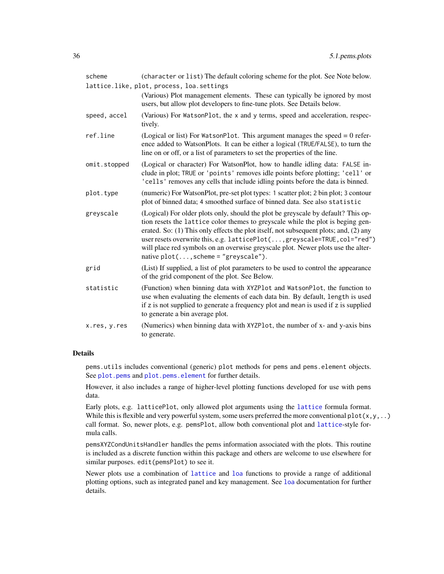<span id="page-35-0"></span>

| scheme       | (character or list) The default coloring scheme for the plot. See Note below.                                                                                                                                                                                                                                                                                                                                                                                            |
|--------------|--------------------------------------------------------------------------------------------------------------------------------------------------------------------------------------------------------------------------------------------------------------------------------------------------------------------------------------------------------------------------------------------------------------------------------------------------------------------------|
|              | lattice.like, plot, process, loa.settings                                                                                                                                                                                                                                                                                                                                                                                                                                |
|              | (Various) Plot management elements. These can typically be ignored by most<br>users, but allow plot developers to fine-tune plots. See Details below.                                                                                                                                                                                                                                                                                                                    |
| speed, accel | (Various) For WatsonPlot, the x and y terms, speed and acceleration, respec-<br>tively.                                                                                                                                                                                                                                                                                                                                                                                  |
| ref.line     | (Logical or list) For WatsonPlot. This argument manages the speed $= 0$ refer-<br>ence added to WatsonPlots. It can be either a logical (TRUE/FALSE), to turn the<br>line on or off, or a list of parameters to set the properties of the line.                                                                                                                                                                                                                          |
| omit.stopped | (Logical or character) For WatsonPlot, how to handle idling data: FALSE in-<br>clude in plot; TRUE or 'points' removes idle points before plotting; 'cell' or<br>'cells' removes any cells that include idling points before the data is binned.                                                                                                                                                                                                                         |
| plot.type    | (numeric) For WatsonPlot, pre-set plot types: 1 scatter plot; 2 bin plot; 3 contour<br>plot of binned data; 4 smoothed surface of binned data. See also statistic                                                                                                                                                                                                                                                                                                        |
| greyscale    | (Logical) For older plots only, should the plot be greyscale by default? This op-<br>tion resets the lattice color themes to greyscale while the plot is beging gen-<br>erated. So: (1) This only effects the plot itself, not subsequent plots; and, (2) any<br>user resets overwrite this, e.g. latticePlot(, greyscale=TRUE, col="red")<br>will place red symbols on an overwise greyscale plot. Newer plots use the alter-<br>native $plot(, scheme = "greyscale").$ |
| grid         | (List) If supplied, a list of plot parameters to be used to control the appearance<br>of the grid component of the plot. See Below.                                                                                                                                                                                                                                                                                                                                      |
| statistic    | (Function) when binning data with XYZPlot and WatsonPlot, the function to<br>use when evaluating the elements of each data bin. By default, length is used<br>if z is not supplied to generate a frequency plot and mean is used if z is supplied<br>to generate a bin average plot.                                                                                                                                                                                     |
| x.res, y.res | (Numerics) when binning data with XYZP1ot, the number of x- and y-axis bins<br>to generate.                                                                                                                                                                                                                                                                                                                                                                              |
|              |                                                                                                                                                                                                                                                                                                                                                                                                                                                                          |

### Details

pems.utils includes conventional (generic) plot methods for pems and pems.element objects. See [plot.pems](#page-13-1) and [plot.pems.element](#page-18-1) for further details.

However, it also includes a range of higher-level plotting functions developed for use with pems data.

Early plots, e.g. latticePlot, only allowed plot arguments using the [lattice](#page-0-0) formula format. While this is flexible and very powerful system, some users preferred the more conventional  $plot(x,y,...)$ call format. So, newer plots, e.g. pemsPlot, allow both conventional plot and [lattice](#page-0-0)-style formula calls.

pemsXYZCondUnitsHandler handles the pems information associated with the plots. This routine is included as a discrete function within this package and others are welcome to use elsewhere for similar purposes. edit(pemsPlot) to see it.

Newer plots use a combination of [lattice](#page-0-0) and [loa](#page-0-0) functions to provide a range of additional plotting options, such as integrated panel and key management. See [loa](#page-0-0) documentation for further details.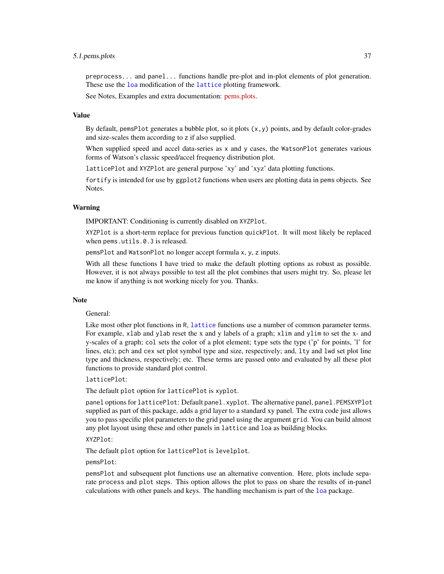#### 5.1.pems.plots 37

preprocess... and panel... functions handle pre-plot and in-plot elements of plot generation. These use the [loa](#page-0-0) modification of the [lattice](#page-0-0) plotting framework.

See Notes, Examples and extra documentation: [pems.plots.](http://pems.r-forge.r-project.org/pems.utils.plots.html)

### Value

By default, pemsPlot generates a bubble plot, so it plots  $(x, y)$  points, and by default color-grades and size-scales them according to z if also supplied.

When supplied speed and accel data-series as x and y cases, the WatsonPlot generates various forms of Watson's classic speed/accel frequency distribution plot.

latticePlot and XYZPlot are general purpose 'xy' and 'xyz' data plotting functions.

fortify is intended for use by ggplot2 functions when users are plotting data in pems objects. See Notes.

### Warning

IMPORTANT: Conditioning is currently disabled on XYZPlot.

XYZPlot is a short-term replace for previous function quickPlot. It will most likely be replaced when pems.utils.0.3 is released.

pemsPlot and WatsonPlot no longer accept formula x, y, z inputs.

With all these functions I have tried to make the default plotting options as robust as possible. However, it is not always possible to test all the plot combines that users might try. So, please let me know if anything is not working nicely for you. Thanks.

#### **Note**

#### General:

Like most other plot functions in R, [lattice](#page-0-0) functions use a number of common parameter terms. For example, xlab and ylab reset the x and y labels of a graph; xlim and ylim to set the x- and y-scales of a graph; col sets the color of a plot element; type sets the type ('p' for points, 'l' for lines, etc); pch and cex set plot symbol type and size, respectively; and, lty and lwd set plot line type and thickness, respectively; etc. These terms are passed onto and evaluated by all these plot functions to provide standard plot control.

latticePlot:

The default plot option for latticePlot is xyplot.

panel options for latticePlot: Default panel.xyplot. The alternative panel, panel.PEMSXYPlot supplied as part of this package, adds a grid layer to a standard xy panel. The extra code just allows you to pass specific plot parameters to the grid panel using the argument grid. You can build almost any plot layout using these and other panels in lattice and loa as building blocks.

### XYZPlot:

The default plot option for latticePlot is levelplot.

pemsPlot:

pemsPlot and subsequent plot functions use an alternative convention. Here, plots include separate process and plot steps. This option allows the plot to pass on share the results of in-panel calculations with other panels and keys. The handling mechanism is part of the [loa](#page-0-0) package.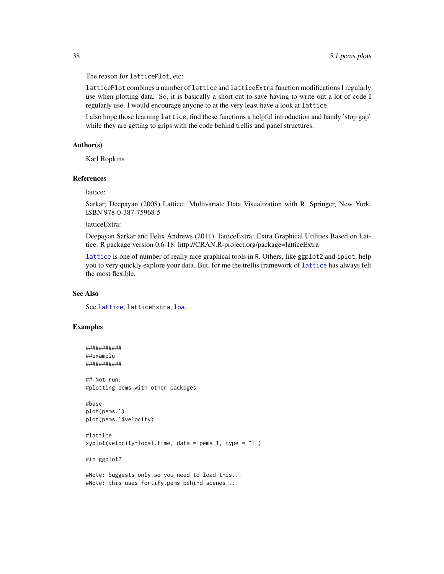<span id="page-37-0"></span>The reason for latticePlot, etc:

latticePlot combines a number of lattice and latticeExtra function modifications I regularly use when plotting data. So, it is basically a short cut to save having to write out a lot of code I regularly use. I would encourage anyone to at the very least have a look at lattice.

I also hope those learning lattice, find these functions a helpful introduction and handy 'stop gap' while they are getting to grips with the code behind trellis and panel structures.

### Author(s)

Karl Ropkins

### References

lattice:

Sarkar, Deepayan (2008) Lattice: Multivariate Data Visualization with R. Springer, New York. ISBN 978-0-387-75968-5

latticeExtra:

Deepayan Sarkar and Felix Andrews (2011). latticeExtra: Extra Graphical Utilities Based on Lattice. R package version 0.6-18. http://CRAN.R-project.org/package=latticeExtra

[lattice](#page-0-0) is one of number of really nice graphical tools in R. Others, like ggplot2 and iplot, help you to very quickly explore your data. But, for me the trellis framework of [lattice](#page-0-0) has always felt the most flexible.

### See Also

See [lattice](#page-0-0), latticeExtra, [loa](#page-0-0).

### Examples

```
###########
##example 1
###########
```
## Not run: #plotting pems with other packages

```
#base
plot(pems.1)
plot(pems.1$velocity)
```
#lattice  $xyplot(velocity \textdegree local.time, data = pems.1, type = "l")$ 

#in ggplot2

#Note: Suggests only so you need to load this... #Note: this uses fortify.pems behind scenes...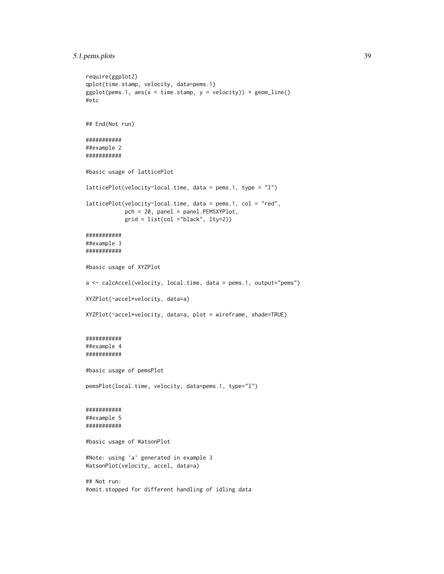```
5.1.pems.plots 39
```

```
require(ggplot2)
qplot(time.stamp, velocity, data=pems.1)
ggplot(pems.1, aes(x = time.stamp, y = velocity)) + geom\_line()#etc
## End(Not run)
###########
##example 2
###########
#basic usage of latticePlot
latticePlot(velocity~local.time, data = pems.1, type = "l")
latticePlot(velocity~local.time, data = pems.1, col = "red",
            pch = 20, panel = panel.PEMSXYPlot,
            grid = list(col ="black", lty=2))
###########
##example 3
###########
#basic usage of XYZPlot
a <- calcAccel(velocity, local.time, data = pems.1, output="pems")
XYZPlot(~accel*velocity, data=a)
XYZPlot(~accel*velocity, data=a, plot = wireframe, shade=TRUE)
###########
##example 4
###########
#basic usage of pemsPlot
pemsPlot(local.time, velocity, data=pems.1, type="l")
###########
##example 5
###########
#basic usage of WatsonPlot
#Note: using 'a' generated in example 3
WatsonPlot(velocity, accel, data=a)
## Not run:
#omit.stopped for different handling of idling data
```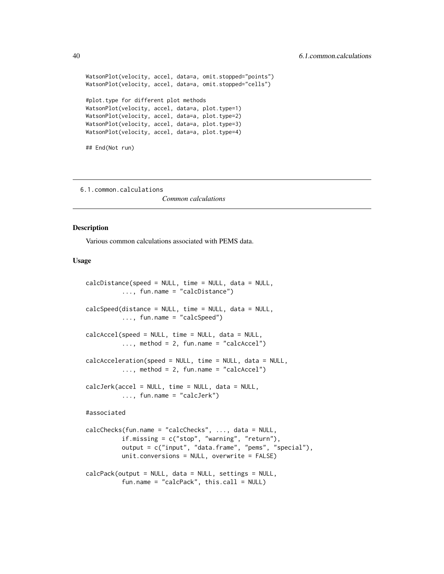```
WatsonPlot(velocity, accel, data=a, omit.stopped="points")
WatsonPlot(velocity, accel, data=a, omit.stopped="cells")
#plot.type for different plot methods
WatsonPlot(velocity, accel, data=a, plot.type=1)
WatsonPlot(velocity, accel, data=a, plot.type=2)
WatsonPlot(velocity, accel, data=a, plot.type=3)
WatsonPlot(velocity, accel, data=a, plot.type=4)
## End(Not run)
```
6.1.common.calculations

*Common calculations*

#### <span id="page-39-1"></span>**Description**

Various common calculations associated with PEMS data.

### Usage

```
calcDistance(speed = NULL, time = NULL, data = NULL,
          ..., fun.name = "calcDistance")
calcSpeed(distance = NULL, time = NULL, data = NULL,
          ..., fun.name = "calcSpeed")
calcAccel(speed = NULL, time = NULL, data = NULL,
          \ldots, method = 2, fun.name = "calcAccel")
calcAcceleration(speed = NULL, time = NULL, data = NULL,
          \ldots, method = 2, fun.name = "calcAccel")
calcJerk(accel = NULL, time = NULL, data = NULL,
          ..., fun.name = "calcJerk")
#associated
calcChecks(fun.name = "calcChecks", ..., data = NULL,
          if.missing = c("stop", "warning", "return"),
          output = c("input", "data.frame", "pems", "special"),
          unit.conversions = NULL, overwrite = FALSE)
calcPack(output = NULL, data = NULL, settings = NULL,
          fun.name = "calcPack", this.call = NULL)
```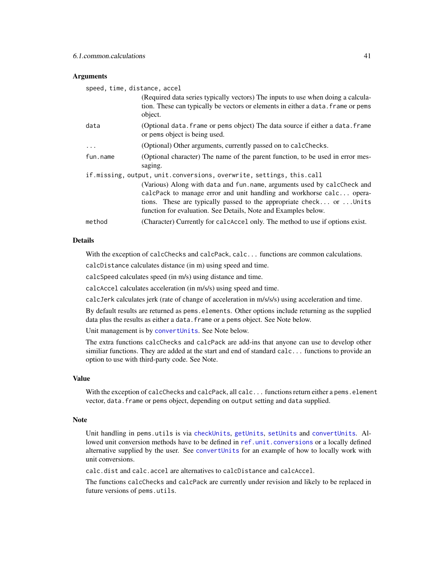### <span id="page-40-0"></span>**Arguments**

| speed, time, distance, accel                                         |                                                                                                                                                                                                                                                                                           |  |
|----------------------------------------------------------------------|-------------------------------------------------------------------------------------------------------------------------------------------------------------------------------------------------------------------------------------------------------------------------------------------|--|
|                                                                      | (Required data series typically vectors) The inputs to use when doing a calcula-<br>tion. These can typically be vectors or elements in either a data. frame or pems<br>object.                                                                                                           |  |
| data                                                                 | (Optional data. frame or pems object) The data source if either a data. frame<br>or pems object is being used.                                                                                                                                                                            |  |
| $\ddots$ .                                                           | (Optional) Other arguments, currently passed on to calcChecks.                                                                                                                                                                                                                            |  |
| fun.name                                                             | (Optional character) The name of the parent function, to be used in error mes-<br>saging.                                                                                                                                                                                                 |  |
| if.missing, output, unit.conversions, overwrite, settings, this.call |                                                                                                                                                                                                                                                                                           |  |
|                                                                      | (Various) Along with data and fun.name, arguments used by calcCheck and<br>calcPack to manage error and unit handling and workhorse calc opera-<br>tions. These are typically passed to the appropriate check or  Units<br>function for evaluation. See Details, Note and Examples below. |  |
| method                                                               | (Character) Currently for calcancel only. The method to use if options exist.                                                                                                                                                                                                             |  |

### Details

With the exception of calcChecks and calcPack, calc... functions are common calculations.

calcDistance calculates distance (in m) using speed and time.

calcSpeed calculates speed (in m/s) using distance and time.

calcAccel calculates acceleration (in m/s/s) using speed and time.

calcJerk calculates jerk (rate of change of acceleration in m/s/s/s) using acceleration and time.

By default results are returned as pems.elements. Other options include returning as the supplied data plus the results as either a data. frame or a pems object. See Note below.

Unit management is by [convertUnits](#page-28-1). See Note below.

The extra functions calcChecks and calcPack are add-ins that anyone can use to develop other similiar functions. They are added at the start and end of standard calc... functions to provide an option to use with third-party code. See Note.

### Value

With the exception of calcChecks and calcPack, all calc... functions return either a pems.element vector, data. frame or pems object, depending on output setting and data supplied.

### Note

Unit handling in pems.utils is via [checkUnits](#page-42-1), [getUnits](#page-28-1), [setUnits](#page-28-1) and [convertUnits](#page-28-1). Allowed unit conversion methods have to be defined in [ref.unit.conversions](#page-65-1) or a locally defined alternative supplied by the user. See [convertUnits](#page-28-1) for an example of how to locally work with unit conversions.

calc.dist and calc.accel are alternatives to calcDistance and calcAccel.

The functions calcChecks and calcPack are currently under revision and likely to be replaced in future versions of pems.utils.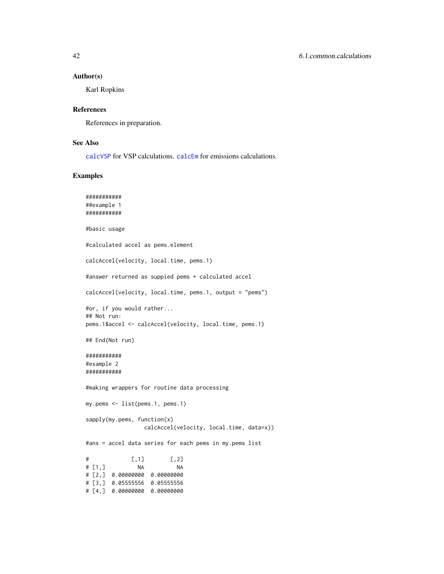#### <span id="page-41-0"></span>Author(s)

Karl Ropkins

### References

References in preparation.

### See Also

[calcVSP](#page-50-1) for VSP calculations. [calcEm](#page-54-1) for emissions calculations.

### Examples

```
###########
##example 1
###########
#basic usage
#calculated accel as pems.element
calcAccel(velocity, local.time, pems.1)
#answer returned as suppied pems + calculated accel
calcAccel(velocity, local.time, pems.1, output = "pems")
#or, if you would rather...
## Not run:
pems.1$accel <- calcAccel(velocity, local.time, pems.1)
## End(Not run)
###########
#example 2
###########
#making wrappers for routine data processing
my.pems <- list(pems.1, pems.1)
sapply(my.pems, function(x)
                 calcAccel(velocity, local.time, data=x))
#ans = accel data series for each pems in my.pems list
# [,1] [,2]
# [1,] NA NA
# [2,] 0.00000000 0.00000000
# [3,] 0.05555556 0.05555556
# [4,] 0.00000000 0.00000000
```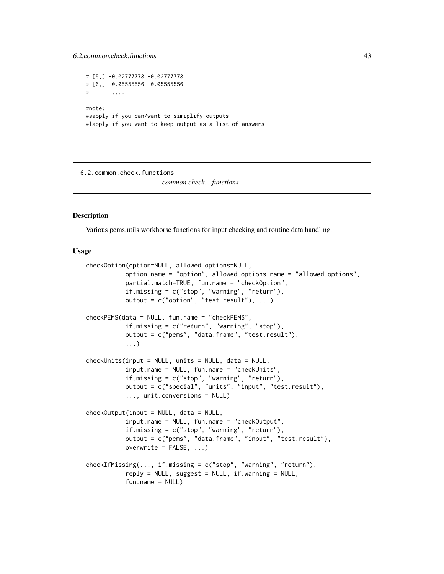```
# [5,] -0.02777778 -0.02777778
# [6,] 0.05555556 0.05555556
# ....
#note:
#sapply if you can/want to simiplify outputs
#lapply if you want to keep output as a list of answers
```
6.2.common.check.functions

*common check... functions*

### <span id="page-42-1"></span>Description

Various pems.utils workhorse functions for input checking and routine data handling.

### Usage

```
checkOption(option=NULL, allowed.options=NULL,
           option.name = "option", allowed.options.name = "allowed.options",
           partial.match=TRUE, fun.name = "checkOption",
           if.missing = c("stop", "warning", "return"),
           output = c("option", "test. result"), ...)checkPEMS(data = NULL, fun.name = "checkPEMS",
           if.missing = c("return", "warning", "stop"),
           output = c("pems", "data.frame", "test.result"),
           ...)
checkUnits(input = NULL, units = NULL, data = NULL,
           input.name = NULL, fun.name = "checkUnits",
           if.missing = c("stop", "warning", "return"),
           output = c("special", "units", "input", "test.result"),
           ..., unit.conversions = NULL)
checkOutput(input = NULL, data = NULL,
           input.name = NULL, fun.name = "checkOutput",
           if.missing = c("stop", "warning", "return"),
           output = c("pems", "data.frame", "input", "test.result"),
           overwrite = FALSE, \ldots)checkIfMissing(..., if.missing = c("stop", "warning", "return"),
           reply = NULL, suggest = NULL, if. warning = NULL,fun.name = NULL)
```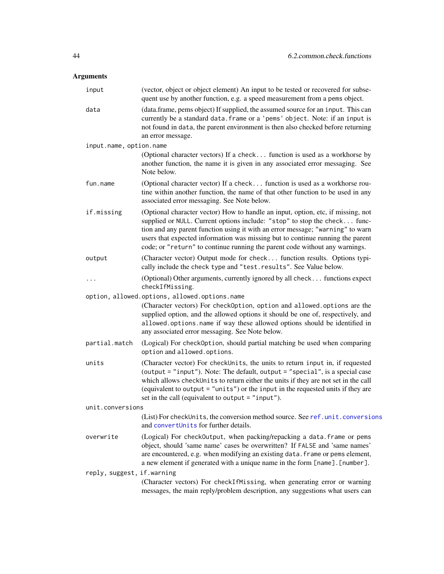## <span id="page-43-0"></span>Arguments

| input                      | (vector, object or object element) An input to be tested or recovered for subse-<br>quent use by another function, e.g. a speed measurement from a pems object.                                                                                                                                                                                                                                                  |
|----------------------------|------------------------------------------------------------------------------------------------------------------------------------------------------------------------------------------------------------------------------------------------------------------------------------------------------------------------------------------------------------------------------------------------------------------|
| data                       | (data.frame, pems object) If supplied, the assumed source for an input. This can<br>currently be a standard data. frame or a 'pems' object. Note: if an input is<br>not found in data, the parent environment is then also checked before returning<br>an error message.                                                                                                                                         |
| input.name, option.name    |                                                                                                                                                                                                                                                                                                                                                                                                                  |
|                            | (Optional character vectors) If a check function is used as a workhorse by<br>another function, the name it is given in any associated error messaging. See<br>Note below.                                                                                                                                                                                                                                       |
| fun.name                   | (Optional character vector) If a check function is used as a workhorse rou-<br>tine within another function, the name of that other function to be used in any<br>associated error messaging. See Note below.                                                                                                                                                                                                    |
| if.missing                 | (Optional character vector) How to handle an input, option, etc, if missing, not<br>supplied or NULL. Current options include: "stop" to stop the check func-<br>tion and any parent function using it with an error message; "warning" to warn<br>users that expected information was missing but to continue running the parent<br>code; or "return" to continue running the parent code without any warnings. |
| output                     | (Character vector) Output mode for check function results. Options typi-<br>cally include the check type and "test.results". See Value below.                                                                                                                                                                                                                                                                    |
| $\cdots$                   | (Optional) Other arguments, currently ignored by all check functions expect<br>checkIfMissing.                                                                                                                                                                                                                                                                                                                   |
|                            | option, allowed.options, allowed.options.name<br>(Character vectors) For checkOption, option and allowed.options are the<br>supplied option, and the allowed options it should be one of, respectively, and<br>allowed.options.name if way these allowed options should be identified in<br>any associated error messaging. See Note below.                                                                      |
| partial.match              | (Logical) For check0ption, should partial matching be used when comparing<br>option and allowed.options.                                                                                                                                                                                                                                                                                                         |
| units                      | (Character vector) For checkUnits, the units to return input in, if requested<br>(output = "input"). Note: The default, output = "special", is a special case<br>which allows checkUnits to return either the units if they are not set in the call<br>(equivalent to output = "units") or the input in the requested units if they are<br>set in the call (equivalent to output = "input").                     |
| unit.conversions           |                                                                                                                                                                                                                                                                                                                                                                                                                  |
|                            | (List) For checkUnits, the conversion method source. See ref.unit.conversions<br>and convertUnits for further details.                                                                                                                                                                                                                                                                                           |
| overwrite                  | (Logical) For checkOutput, when packing/repacking a data. frame or pems<br>object, should 'same name' cases be overwritten? If FALSE and 'same names'<br>are encountered, e.g. when modifying an existing data. frame or pems element,<br>a new element if generated with a unique name in the form [name]. [number].                                                                                            |
| reply, suggest, if.warning | (Character vectors) For checkIfMissing, when generating error or warning<br>messages, the main reply/problem description, any suggestions what users can                                                                                                                                                                                                                                                         |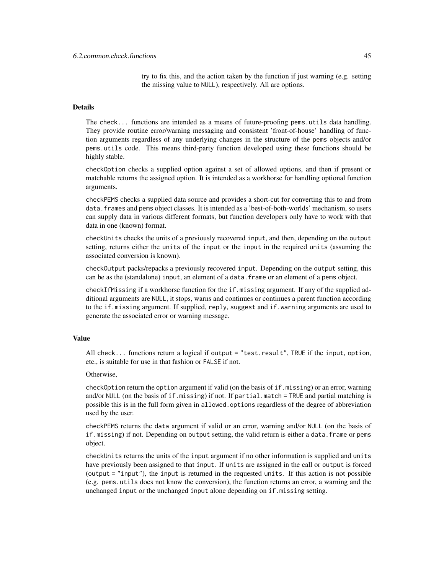try to fix this, and the action taken by the function if just warning (e.g. setting the missing value to NULL), respectively. All are options.

### Details

The check... functions are intended as a means of future-proofing pems.utils data handling. They provide routine error/warning messaging and consistent 'front-of-house' handling of function arguments regardless of any underlying changes in the structure of the pems objects and/or pems.utils code. This means third-party function developed using these functions should be highly stable.

checkOption checks a supplied option against a set of allowed options, and then if present or matchable returns the assigned option. It is intended as a workhorse for handling optional function arguments.

checkPEMS checks a supplied data source and provides a short-cut for converting this to and from data.frames and pems object classes. It is intended as a 'best-of-both-worlds' mechanism, so users can supply data in various different formats, but function developers only have to work with that data in one (known) format.

checkUnits checks the units of a previously recovered input, and then, depending on the output setting, returns either the units of the input or the input in the required units (assuming the associated conversion is known).

checkOutput packs/repacks a previously recovered input. Depending on the output setting, this can be as the (standalone) input, an element of a data.frame or an element of a pems object.

checkIfMissing if a workhorse function for the if.missing argument. If any of the supplied additional arguments are NULL, it stops, warns and continues or continues a parent function according to the if.missing argument. If supplied, reply, suggest and if.warning arguments are used to generate the associated error or warning message.

#### Value

All check... functions return a logical if output = "test.result", TRUE if the input, option, etc., is suitable for use in that fashion or FALSE if not.

### Otherwise,

checkOption return the option argument if valid (on the basis of if.missing) or an error, warning and/or NULL (on the basis of if.missing) if not. If partial.match = TRUE and partial matching is possible this is in the full form given in allowed.options regardless of the degree of abbreviation used by the user.

checkPEMS returns the data argument if valid or an error, warning and/or NULL (on the basis of if.missing) if not. Depending on output setting, the valid return is either a data.frame or pems object.

checkUnits returns the units of the input argument if no other information is supplied and units have previously been assigned to that input. If units are assigned in the call or output is forced (output = "input"), the input is returned in the requested units. If this action is not possible (e.g. pems.utils does not know the conversion), the function returns an error, a warning and the unchanged input or the unchanged input alone depending on if.missing setting.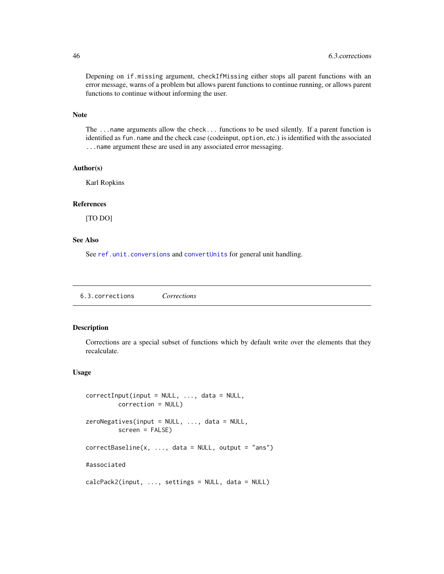Depening on if.missing argument, checkIfMissing either stops all parent functions with an error message, warns of a problem but allows parent functions to continue running, or allows parent functions to continue without informing the user.

### Note

The ...name arguments allow the check... functions to be used silently. If a parent function is identified as fun.name and the check case (codeinput, option, etc.) is identified with the associated ...name argument these are used in any associated error messaging.

#### Author(s)

Karl Ropkins

#### References

[TO DO]

### See Also

See [ref.unit.conversions](#page-65-1) and [convertUnits](#page-28-1) for general unit handling.

6.3.corrections *Corrections*

### Description

Corrections are a special subset of functions which by default write over the elements that they recalculate.

#### Usage

```
correctInput(input = NULL, ..., data = NULL,correction = NULL)
zeroNegatives(input = NULL, ..., data = NULL,
        screen = FALSE)
correctBaseline(x, ..., data = NULL, output = "ans")#associated
calcPack2(input, ..., settings = NULL, data = NULL)
```
<span id="page-45-0"></span>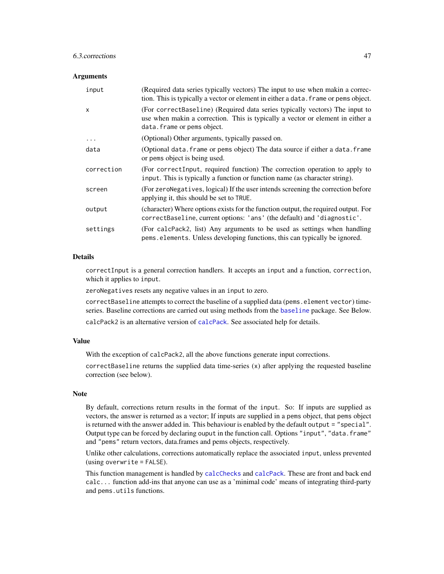### <span id="page-46-0"></span>6.3.corrections 47

#### Arguments

| input      | (Required data series typically vectors) The input to use when makin a correc-<br>tion. This is typically a vector or element in either a data. frame or pems object.                        |
|------------|----------------------------------------------------------------------------------------------------------------------------------------------------------------------------------------------|
| X          | (For correctBaseline) (Required data series typically vectors) The input to<br>use when makin a correction. This is typically a vector or element in either a<br>data. frame or pems object. |
| $\ddots$   | (Optional) Other arguments, typically passed on.                                                                                                                                             |
| data       | (Optional data. frame or pems object) The data source if either a data. frame<br>or pems object is being used.                                                                               |
| correction | (For correctInput, required function) The correction operation to apply to<br>input. This is typically a function or function name (as character string).                                    |
| screen     | (For zeroNegatives, logical) If the user intends screening the correction before<br>applying it, this should be set to TRUE.                                                                 |
| output     | (character) Where options exists for the function output, the required output. For<br>correctBaseline, current options: 'ans' (the default) and 'diagnostic'.                                |
| settings   | (For calcenack), list) Any arguments to be used as settings when handling<br>pems.elements. Unless developing functions, this can typically be ignored.                                      |

### **Details**

correctInput is a general correction handlers. It accepts an input and a function, correction, which it applies to input.

zeroNegatives resets any negative values in an input to zero.

correctBaseline attempts to correct the baseline of a supplied data (pems.element vector) timeseries. Baseline corrections are carried out using methods from the [baseline](#page-0-0) package. See Below.

calcPack2 is an alternative version of [calcPack](#page-39-1). See associated help for details.

### Value

With the exception of calcPack2, all the above functions generate input corrections.

correctBaseline returns the supplied data time-series (x) after applying the requested baseline correction (see below).

#### Note

By default, corrections return results in the format of the input. So: If inputs are supplied as vectors, the answer is returned as a vector; If inputs are supplied in a pems object, that pems object is returned with the answer added in. This behaviour is enabled by the default output = "special". Output type can be forced by declaring ouput in the function call. Options "input", "data.frame" and "pems" return vectors, data.frames and pems objects, respectively.

Unlike other calculations, corrections automatically replace the associated input, unless prevented (using overwrite = FALSE).

This function management is handled by [calcChecks](#page-39-1) and [calcPack](#page-39-1). These are front and back end calc... function add-ins that anyone can use as a 'minimal code' means of integrating third-party and pems.utils functions.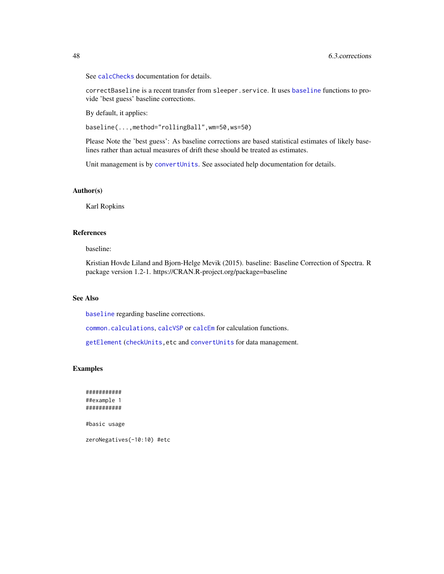See [calcChecks](#page-39-1) documentation for details.

correctBaseline is a recent transfer from sleeper.service. It uses [baseline](#page-0-0) functions to provide 'best guess' baseline corrections.

By default, it applies:

baseline(...,method="rollingBall",wm=50,ws=50)

Please Note the 'best guess': As baseline corrections are based statistical estimates of likely baselines rather than actual measures of drift these should be treated as estimates.

Unit management is by [convertUnits](#page-28-1). See associated help documentation for details.

### Author(s)

Karl Ropkins

#### References

baseline:

Kristian Hovde Liland and Bjorn-Helge Mevik (2015). baseline: Baseline Correction of Spectra. R package version 1.2-1. https://CRAN.R-project.org/package=baseline

### See Also

[baseline](#page-0-0) regarding baseline corrections.

[common.calculations](#page-39-1), [calcVSP](#page-50-1) or [calcEm](#page-54-1) for calculation functions.

[getElement](#page-0-0) ([checkUnits,](#page-42-1)etc and [convertUnits](#page-28-1) for data management.

#### Examples

########### ##example 1 ###########

#basic usage

zeroNegatives(-10:10) #etc

<span id="page-47-0"></span>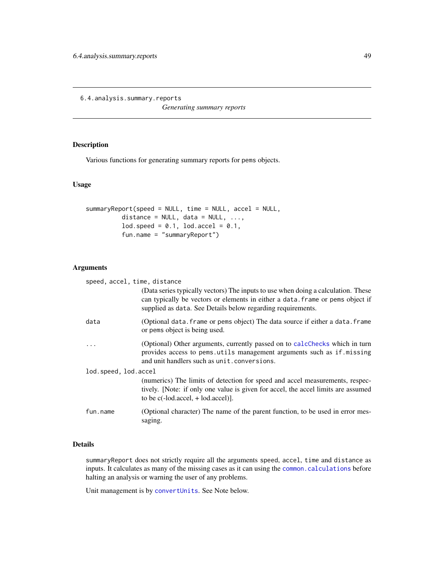<span id="page-48-0"></span>6.4.analysis.summary.reports

*Generating summary reports*

### <span id="page-48-1"></span>Description

Various functions for generating summary reports for pems objects.

### Usage

```
summaryReport(speed = NULL, time = NULL, accel = NULL,
          distance = NULL, data = NULL, ...,
          lod.\,speed = 0.1, \, lod.\,accel = 0.1,fun.name = "summaryReport")
```
### Arguments

| speed, accel, time, distance |                                                                                                                                                                                                                                    |
|------------------------------|------------------------------------------------------------------------------------------------------------------------------------------------------------------------------------------------------------------------------------|
|                              | (Data series typically vectors) The inputs to use when doing a calculation. These<br>can typically be vectors or elements in either a data. frame or pems object if<br>supplied as data. See Details below regarding requirements. |
| data                         | (Optional data. frame or pems object) The data source if either a data. frame<br>or pems object is being used.                                                                                                                     |
| $\ddots$                     | (Optional) Other arguments, currently passed on to calcChecks which in turn<br>provides access to pems.utils management arguments such as if.missing<br>and unit handlers such as unit. conversions.                               |
| lod.speed, lod.accel         |                                                                                                                                                                                                                                    |
|                              | (numerics) The limits of detection for speed and accel measurements, respec-<br>tively. [Note: if only one value is given for accel, the accel limits are assumed<br>to be $c(-1od \cdot accel, +1od \cdot accel)].$               |
| fun.name                     | (Optional character) The name of the parent function, to be used in error mes-<br>saging.                                                                                                                                          |

### Details

summaryReport does not strictly require all the arguments speed, accel, time and distance as inputs. It calculates as many of the missing cases as it can using the [common.calculations](#page-39-1) before halting an analysis or warning the user of any problems.

Unit management is by [convertUnits](#page-28-1). See Note below.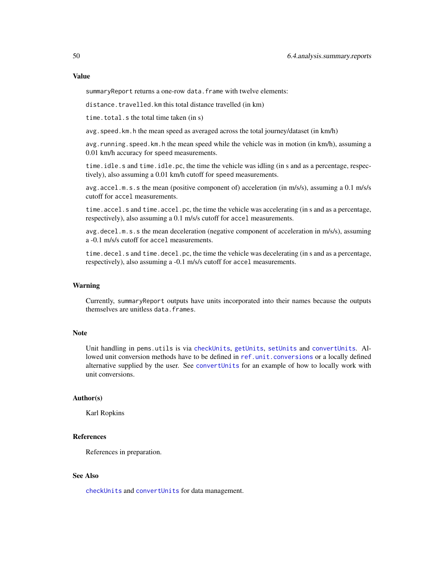#### <span id="page-49-0"></span>Value

summaryReport returns a one-row data.frame with twelve elements:

distance.travelled.km this total distance travelled (in km)

time.total.s the total time taken (in s)

avg.speed.km.h the mean speed as averaged across the total journey/dataset (in km/h)

avg.running.speed.km.h the mean speed while the vehicle was in motion (in km/h), assuming a 0.01 km/h accuracy for speed measurements.

time.idle.s and time.idle.pc, the time the vehicle was idling (in s and as a percentage, respectively), also assuming a 0.01 km/h cutoff for speed measurements.

avg.accel.m.s.s the mean (positive component of) acceleration (in m/s/s), assuming a 0.1 m/s/s cutoff for accel measurements.

time.accel.s and time.accel.pc, the time the vehicle was accelerating (in s and as a percentage, respectively), also assuming a 0.1 m/s/s cutoff for accel measurements.

avg.decel.m.s.s the mean deceleration (negative component of acceleration in m/s/s), assuming a -0.1 m/s/s cutoff for accel measurements.

time.decel.s and time.decel.pc, the time the vehicle was decelerating (in s and as a percentage, respectively), also assuming a -0.1 m/s/s cutoff for accel measurements.

#### Warning

Currently, summaryReport outputs have units incorporated into their names because the outputs themselves are unitless data.frames.

#### Note

Unit handling in pems.utils is via [checkUnits](#page-42-1), [getUnits](#page-28-1), [setUnits](#page-28-1) and [convertUnits](#page-28-1). Allowed unit conversion methods have to be defined in [ref.unit.conversions](#page-65-1) or a locally defined alternative supplied by the user. See [convertUnits](#page-28-1) for an example of how to locally work with unit conversions.

#### Author(s)

Karl Ropkins

### References

References in preparation.

### See Also

[checkUnits](#page-42-1) and [convertUnits](#page-28-1) for data management.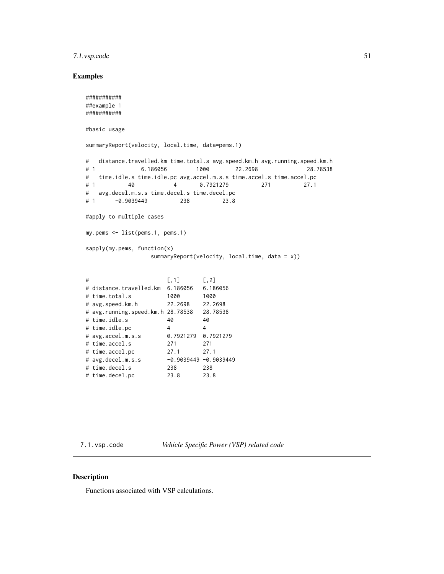### <span id="page-50-0"></span>7.1.vsp.code 51

### Examples

```
###########
##example 1
###########
#basic usage
summaryReport(velocity, local.time, data=pems.1)
# distance.travelled.km time.total.s avg.speed.km.h avg.running.speed.km.h
# 1 6.186056 1000 22.2698 28.78538
# time.idle.s time.idle.pc avg.accel.m.s.s time.accel.s time.accel.pc
# 1 40 4 0.7921279 271 27.1
# avg.decel.m.s.s time.decel.s time.decel.pc
# 1 -0.9039449 238 23.8
#apply to multiple cases
my.pems <- list(pems.1, pems.1)
sapply(my.pems, function(x)
               summaryReport(velocity, local.time, data = x))
# [,1] [,2]
# distance.travelled.km 6.186056 6.186056
# time.total.s 1000 1000
# avg.speed.km.h 22.2698 22.2698
# avg.running.speed.km.h 28.78538 28.78538
# time.idle.s 40 40
# time.idle.pc 4 4
# avg.accel.m.s.s 0.7921279 0.7921279
# time.accel.s 271 271
# time.accel.pc 27.1 27.1
# avg.decel.m.s.s -0.9039449 -0.9039449
# time.decel.s 238 238
```
7.1.vsp.code *Vehicle Specific Power (VSP) related code*

#### <span id="page-50-1"></span>Description

Functions associated with VSP calculations.

# time.decel.pc 23.8 23.8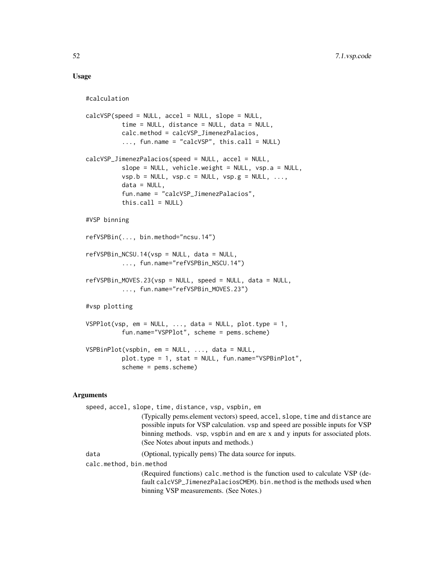### Usage

```
#calculation
calcVSP(speed = NULL, accel = NULL, slope = NULL,
          time = NULL, distance = NULL, data = NULL,
          calc.method = calcVSP_JimenezPalacios,
          ..., fun.name = "calcVSP", this.call = NULL)
calcVSP_JimenezPalacios(speed = NULL, accel = NULL,
          slope = NULL, vehicle.weight = NULL, vsp.a = NULL,
          vsp.b = NULL, vsp.c = NULL, vsp.g = NULL, ...data = NULL,fun.name = "calcVSP_JimenezPalacios",
          this-call = NULL)#VSP binning
refVSPBin(..., bin.method="ncsu.14")
refVSPBin_NCSU.14(vsp = NULL, data = NULL,
          ..., fun.name="refVSPBin_NSCU.14")
refVSPBin_MOVES.23(vsp = NULL, speed = NULL, data = NULL,
          ..., fun.name="refVSPBin_MOVES.23")
#vsp plotting
VSPPlot(vsp, em = NULL, \ldots, data = NULL, plot.type = 1,
          fun.name="VSPPlot", scheme = pems.scheme)
VSPBinPlot(vspbin, em = NULL, ..., data = NULL,
          plot.type = 1, stat = NULL, fun.name="VSPBinPlot",
          scheme = pems.scheme)
```
### Arguments

| speed, accel, slope, time, distance, vsp, vspbin, em |                                                                                                                                                                                                                                                                                         |  |
|------------------------------------------------------|-----------------------------------------------------------------------------------------------------------------------------------------------------------------------------------------------------------------------------------------------------------------------------------------|--|
|                                                      | (Typically pems. element vectors) speed, accel, slope, time and distance are<br>possible inputs for VSP calculation. vsp and speed are possible inputs for VSP<br>binning methods. vsp, vspbin and em are x and y inputs for associated plots.<br>(See Notes about inputs and methods.) |  |
| data                                                 | (Optional, typically pems) The data source for inputs.                                                                                                                                                                                                                                  |  |
| calc.method, bin.method                              |                                                                                                                                                                                                                                                                                         |  |
|                                                      | (Required functions) calc. method is the function used to calculate VSP (de-                                                                                                                                                                                                            |  |
|                                                      | fault calcVSP_JimenezPalaciosCMEM). bin.method is the methods used when                                                                                                                                                                                                                 |  |
|                                                      | binning VSP measurements. (See Notes.)                                                                                                                                                                                                                                                  |  |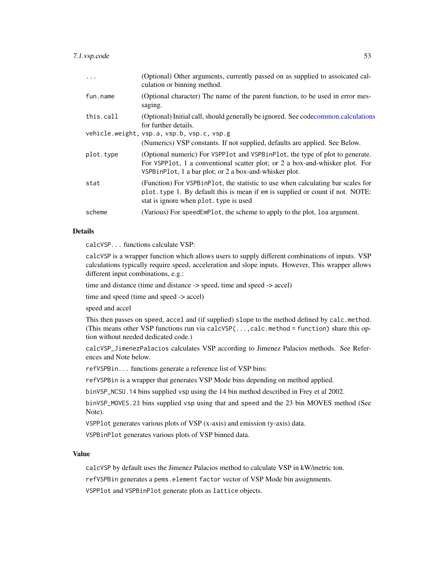### <span id="page-52-0"></span>7.1.vsp.code 53

| .         | (Optional) Other arguments, currently passed on as supplied to assoicated cal-<br>culation or binning method.                                                                                                          |
|-----------|------------------------------------------------------------------------------------------------------------------------------------------------------------------------------------------------------------------------|
| fun.name  | (Optional character) The name of the parent function, to be used in error mes-<br>saging.                                                                                                                              |
| this.call | (Optional) Initial call, should generally be ignored. See codecommon.calculations<br>for further details.                                                                                                              |
|           | vehicle.weight, vsp.a, vsp.b, vsp.c, vsp.g<br>(Numerics) VSP constants. If not supplied, defaults are applied. See Below.                                                                                              |
| plot.type | (Optional numeric) For VSPP1ot and VSPB1nP1ot, the type of plot to generate.<br>For VSPP1ot, 1 a conventional scatter plot; or 2 a box-and-whisker plot. For<br>VSPBinPlot, 1 a bar plot; or 2 a box-and-whisker plot. |
| stat      | (Function) For VSPB in Plot, the statistic to use when calculating bar scales for<br>plot.type 1. By default this is mean if em is supplied or count if not. NOTE:<br>stat is ignore when plot. type is used           |
| scheme    | (Various) For speedEmPlot, the scheme to apply to the plot, loa argument.                                                                                                                                              |

### Details

calcVSP... functions calculate VSP:

calcVSP is a wrapper function which allows users to supply different combinations of inputs. VSP calculations typically require speed, acceleration and slope inputs. However, This wrapper allows different input combinations, e.g.:

time and distance (time and distance -> speed, time and speed -> accel)

time and speed (time and speed -> accel)

speed and accel

This then passes on speed, accel and (if supplied) slope to the method defined by calc.method. (This means other VSP functions run via calcVSP(...,calc.method = function) share this option without needed dedicated code.)

calcVSP\_JimenezPalacios calculates VSP according to Jimenez Palacios methods. See References and Note below.

refVSPBin... functions generate a reference list of VSP bins:

refVSPBin is a wrapper that generates VSP Mode bins depending on method applied.

binVSP\_NCSU.14 bins supplied vsp using the 14 bin method described in Frey et al 2002.

binVSP\_MOVES.23 bins supplied vsp using that and speed and the 23 bin MOVES method (See Note).

VSPPlot generates various plots of VSP (x-axis) and emission (y-axis) data.

VSPBinPlot generates various plots of VSP binned data.

### Value

calcVSP by default uses the Jimenez Palacios method to calculate VSP in kW/metric ton.

refVSPBin generates a pems.element factor vector of VSP Mode bin assignments.

VSPPlot and VSPBinPlot generate plots as lattice objects.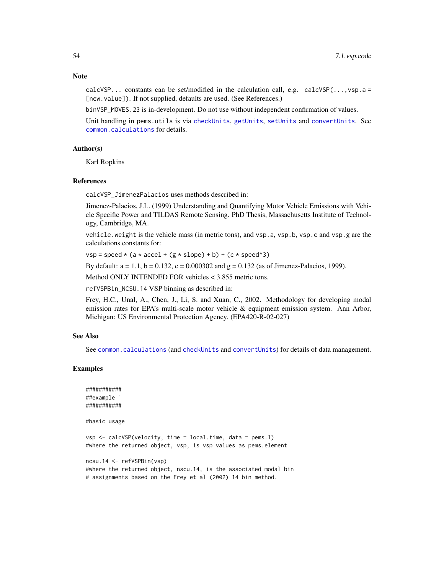<span id="page-53-0"></span>calcVSP... constants can be set/modified in the calculation call, e.g. calcVSP $(\ldots, \text{vsp.a} =$ [new.value]). If not supplied, defaults are used. (See References.)

binVSP\_MOVES.23 is in-development. Do not use without independent confirmation of values.

Unit handling in pems.utils is via [checkUnits](#page-42-1), [getUnits](#page-28-1), [setUnits](#page-28-1) and [convertUnits](#page-28-1). See [common.calculations](#page-39-1) for details.

#### Author(s)

Karl Ropkins

#### References

calcVSP\_JimenezPalacios uses methods described in:

Jimenez-Palacios, J.L. (1999) Understanding and Quantifying Motor Vehicle Emissions with Vehicle Specific Power and TILDAS Remote Sensing. PhD Thesis, Massachusetts Institute of Technology, Cambridge, MA.

vehicle.weight is the vehicle mass (in metric tons), and vsp.a, vsp.b, vsp.c and vsp.g are the calculations constants for:

 $vsp = speed * (a * accel + (g * slope) + b) + (c * speed^3)$ 

By default:  $a = 1.1$ ,  $b = 0.132$ ,  $c = 0.000302$  and  $g = 0.132$  (as of Jimenez-Palacios, 1999).

Method ONLY INTENDED FOR vehicles < 3.855 metric tons.

refVSPBin\_NCSU.14 VSP binning as described in:

Frey, H.C., Unal, A., Chen, J., Li, S. and Xuan, C., 2002. Methodology for developing modal emission rates for EPA's multi-scale motor vehicle & equipment emission system. Ann Arbor, Michigan: US Environmental Protection Agency. (EPA420-R-02-027)

#### See Also

See [common.calculations](#page-39-1) (and [checkUnits](#page-42-1) and [convertUnits](#page-28-1)) for details of data management.

#### Examples

```
###########
##example 1
###########
```
#basic usage

vsp <- calcVSP(velocity, time = local.time, data = pems.1) #where the returned object, vsp, is vsp values as pems.element

```
ncsu.14 <- refVSPBin(vsp)
#where the returned object, nscu.14, is the associated modal bin
# assignments based on the Frey et al (2002) 14 bin method.
```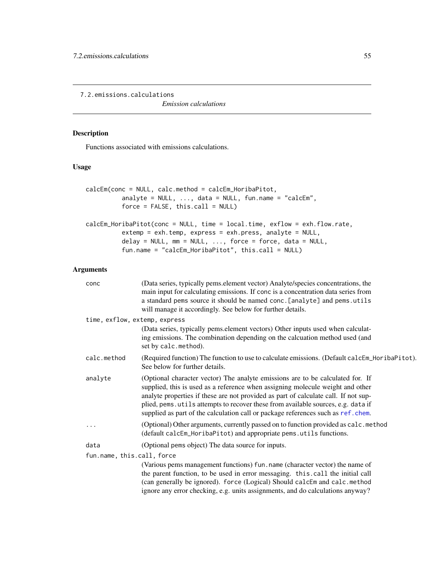<span id="page-54-0"></span>7.2.emissions.calculations

*Emission calculations*

### <span id="page-54-1"></span>Description

Functions associated with emissions calculations.

### Usage

```
calcEm(conc = NULL, calc.method = calcEm_HoribaPitot,
         analyte = NULL, ..., data = NULL, fun.name = "calcEm",force = FALSE, this-call = NULL)calcEm_HoribaPitot(conc = NULL, time = local.time, exflow = exh.flow.rate,
         extemp = exh.temp, express = exh.press, analyte = NULL,
         delay = NULL, mm = NULL, ..., force = force, data = NULL,
          fun.name = "calcEm_HoribaPitot", this.call = NULL)
```
#### Arguments

| conc                          | (Data series, typically pems.element vector) Analyte/species concentrations, the<br>main input for calculating emissions. If conc is a concentration data series from<br>a standard pems source it should be named conc. [analyte] and pems.utils<br>will manage it accordingly. See below for further details.                                                                                                                  |  |
|-------------------------------|----------------------------------------------------------------------------------------------------------------------------------------------------------------------------------------------------------------------------------------------------------------------------------------------------------------------------------------------------------------------------------------------------------------------------------|--|
| time, exflow, extemp, express |                                                                                                                                                                                                                                                                                                                                                                                                                                  |  |
|                               | (Data series, typically pems.element vectors) Other inputs used when calculat-<br>ing emissions. The combination depending on the calcuation method used (and<br>set by calc.method).                                                                                                                                                                                                                                            |  |
| calc.method                   | (Required function) The function to use to calculate emissions. (Default calcEm_HoribaPitot).<br>See below for further details.                                                                                                                                                                                                                                                                                                  |  |
| analyte                       | (Optional character vector) The analyte emissions are to be calculated for. If<br>supplied, this is used as a reference when assigning molecule weight and other<br>analyte properties if these are not provided as part of calculate call. If not sup-<br>plied, pems. utils attempts to recover these from available sources, e.g. data if<br>supplied as part of the calculation call or package references such as ref.chem. |  |
| .                             | (Optional) Other arguments, currently passed on to function provided as calc.method<br>(default calcEm_HoribaPitot) and appropriate pems.utils functions.                                                                                                                                                                                                                                                                        |  |
| data                          | (Optional pems object) The data source for inputs.                                                                                                                                                                                                                                                                                                                                                                               |  |
| fun.name, this.call, force    |                                                                                                                                                                                                                                                                                                                                                                                                                                  |  |
|                               | (Various pems management functions) fun. name (character vector) the name of<br>the parent function, to be used in error messaging. this call the initial call<br>(can generally be ignored). force (Logical) Should calcEm and calc.method<br>ignore any error checking, e.g. units assignments, and do calculations anyway?                                                                                                    |  |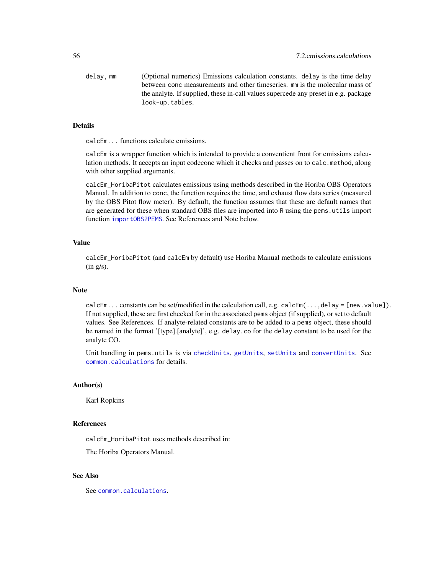<span id="page-55-0"></span>delay, mm (Optional numerics) Emissions calculation constants. delay is the time delay between conc measurements and other timeseries. mm is the molecular mass of the analyte. If supplied, these in-call values supercede any preset in e.g. package look-up.tables.

#### Details

calcEm... functions calculate emissions.

calcEm is a wrapper function which is intended to provide a conventient front for emissions calculation methods. It accepts an input codeconc which it checks and passes on to calc.method, along with other supplied arguments.

calcEm\_HoribaPitot calculates emissions using methods described in the Horiba OBS Operators Manual. In addition to conc, the function requires the time, and exhaust flow data series (measured by the OBS Pitot flow meter). By default, the function assumes that these are default names that are generated for these when standard OBS files are imported into R using the pems.utils import function [importOBS2PEMS](#page-3-1). See References and Note below.

#### Value

calcEm\_HoribaPitot (and calcEm by default) use Horiba Manual methods to calculate emissions (in g/s).

#### Note

calcEm... constants can be set/modified in the calculation call, e.g. calcEm(...,delay = [new.value]). If not supplied, these are first checked for in the associated pems object (if supplied), or set to default values. See References. If analyte-related constants are to be added to a pems object, these should be named in the format '[type].[analyte]', e.g. delay.co for the delay constant to be used for the analyte CO.

Unit handling in pems.utils is via [checkUnits](#page-42-1), [getUnits](#page-28-1), [setUnits](#page-28-1) and [convertUnits](#page-28-1). See [common.calculations](#page-39-1) for details.

#### Author(s)

Karl Ropkins

#### References

calcEm\_HoribaPitot uses methods described in:

The Horiba Operators Manual.

### See Also

See [common.calculations](#page-39-1).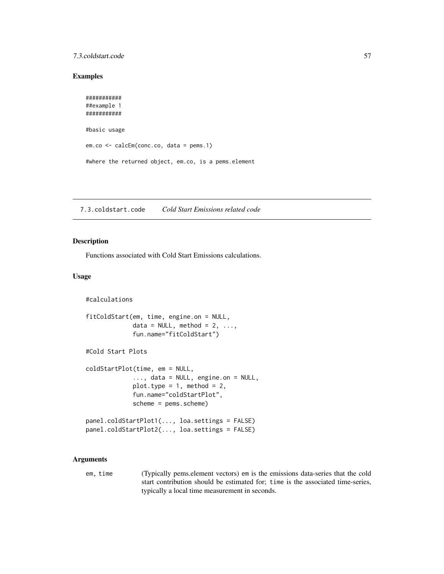### <span id="page-56-0"></span>7.3.coldstart.code 57

### Examples

```
###########
##example 1
###########
#basic usage
em.co <- calcEm(conc.co, data = pems.1)
#where the returned object, em.co, is a pems.element
```
7.3.coldstart.code *Cold Start Emissions related code*

#### Description

Functions associated with Cold Start Emissions calculations.

### Usage

```
#calculations
```

```
fitColdStart(em, time, engine.on = NULL,
             data = NULL, method = 2, ...,fun.name="fitColdStart")
#Cold Start Plots
coldStartPlot(time, em = NULL,
             ..., data = NULL, engine.on = NULL,
             plot.type = 1, method = 2,
             fun.name="coldStartPlot",
             scheme = pems.scheme)
panel.coldStartPlot1(..., loa.settings = FALSE)
panel.coldStartPlot2(..., loa.settings = FALSE)
```
#### Arguments

em, time (Typically pems.element vectors) em is the emissions data-series that the cold start contribution should be estimated for; time is the associated time-series, typically a local time measurement in seconds.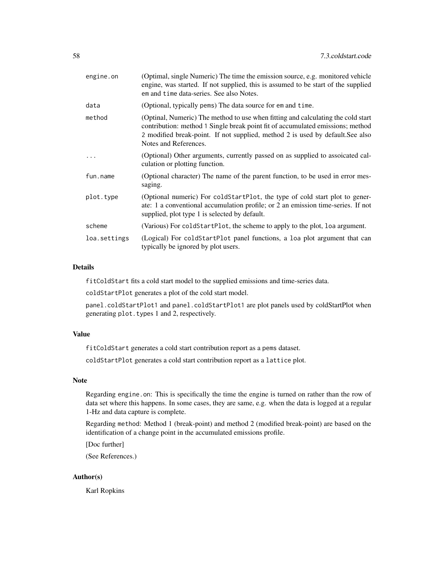| engine.on    | (Optimal, single Numeric) The time the emission source, e.g. monitored vehicle<br>engine, was started. If not supplied, this is assumed to be start of the supplied<br>em and time data-series. See also Notes.                                                               |
|--------------|-------------------------------------------------------------------------------------------------------------------------------------------------------------------------------------------------------------------------------------------------------------------------------|
| data         | (Optional, typically pems) The data source for em and time.                                                                                                                                                                                                                   |
| method       | (Optinal, Numeric) The method to use when fitting and calculating the cold start<br>contribution: method 1 Single break point fit of accumulated emissions; method<br>2 modified break-point. If not supplied, method 2 is used by default. See also<br>Notes and References. |
|              | (Optional) Other arguments, currently passed on as supplied to assoicated cal-<br>culation or plotting function.                                                                                                                                                              |
| fun.name     | (Optional character) The name of the parent function, to be used in error mes-<br>saging.                                                                                                                                                                                     |
| plot.type    | (Optional numeric) For coldStartPlot, the type of cold start plot to gener-<br>ate: 1 a conventional accumulation profile; or 2 an emission time-series. If not<br>supplied, plot type 1 is selected by default.                                                              |
| scheme       | (Various) For coldStartPlot, the scheme to apply to the plot, loa argument.                                                                                                                                                                                                   |
| loa.settings | (Logical) For coldStartPlot panel functions, a loa plot argument that can<br>typically be ignored by plot users.                                                                                                                                                              |

### Details

fitColdStart fits a cold start model to the supplied emissions and time-series data.

coldStartPlot generates a plot of the cold start model.

panel.coldStartPlot1 and panel.coldStartPlot1 are plot panels used by coldStartPlot when generating plot.types 1 and 2, respectively.

### Value

fitColdStart generates a cold start contribution report as a pems dataset.

coldStartPlot generates a cold start contribution report as a lattice plot.

### Note

Regarding engine.on: This is specifically the time the engine is turned on rather than the row of data set where this happens. In some cases, they are same, e.g. when the data is logged at a regular 1-Hz and data capture is complete.

Regarding method: Method 1 (break-point) and method 2 (modified break-point) are based on the identification of a change point in the accumulated emissions profile.

[Doc further]

(See References.)

#### Author(s)

Karl Ropkins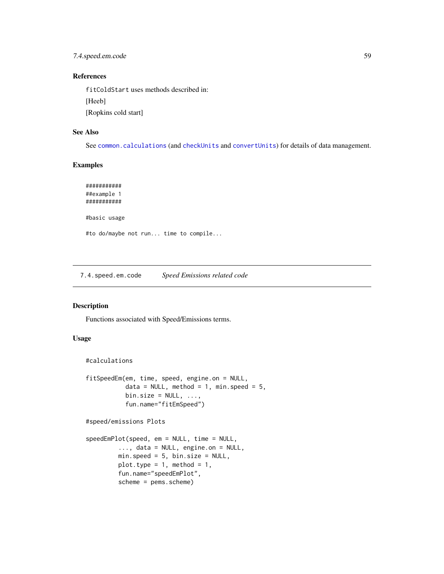<span id="page-58-0"></span>7.4.speed.em.code 59

### References

fitColdStart uses methods described in:

[Heeb]

[Ropkins cold start]

### See Also

See [common.calculations](#page-39-1) (and [checkUnits](#page-42-1) and [convertUnits](#page-28-1)) for details of data management.

### Examples

```
###########
##example 1
###########
#basic usage
#to do/maybe not run... time to compile...
```
7.4.speed.em.code *Speed Emissions related code*

### Description

Functions associated with Speed/Emissions terms.

### Usage

```
#calculations
```

```
fitSpeedEm(em, time, speed, engine.on = NULL,
           data = NULL, method = 1, min.speed = 5,
           bin.size = NULL, ...,fun.name="fitEmSpeed")
#speed/emissions Plots
speedEmPlot(speed, em = NULL, time = NULL,
         ..., data = NULL, engine.on = NULL,
        min.speed = 5, bin.size = NULL,
```
plot.type =  $1$ , method =  $1$ , fun.name="speedEmPlot", scheme = pems.scheme)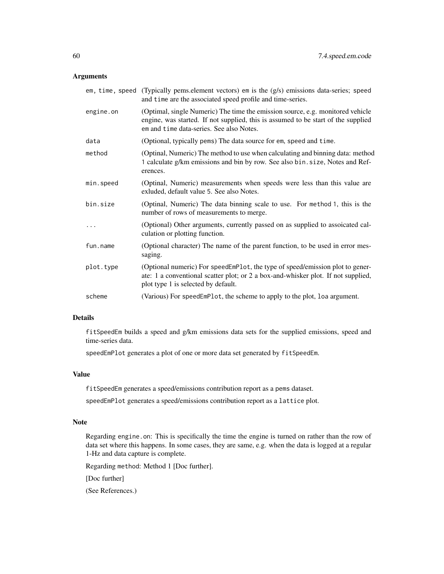### Arguments

|           | em, time, speed (Typically pems.element vectors) em is the $(g/s)$ emissions data-series; speed<br>and time are the associated speed profile and time-series.                                                   |
|-----------|-----------------------------------------------------------------------------------------------------------------------------------------------------------------------------------------------------------------|
| engine.on | (Optimal, single Numeric) The time the emission source, e.g. monitored vehicle<br>engine, was started. If not supplied, this is assumed to be start of the supplied<br>em and time data-series. See also Notes. |
| data      | (Optional, typically pems) The data source for em, speed and time.                                                                                                                                              |
| method    | (Optinal, Numeric) The method to use when calculating and binning data: method<br>1 calculate g/km emissions and bin by row. See also bin.size, Notes and Ref-<br>erences.                                      |
| min.speed | (Optinal, Numeric) measurements when speeds were less than this value are<br>exluded, default value 5. See also Notes.                                                                                          |
| bin.size  | (Optinal, Numeric) The data binning scale to use. For method 1, this is the<br>number of rows of measurements to merge.                                                                                         |
| .         | (Optional) Other arguments, currently passed on as supplied to assoicated cal-<br>culation or plotting function.                                                                                                |
| fun.name  | (Optional character) The name of the parent function, to be used in error mes-<br>saging.                                                                                                                       |
| plot.type | (Optional numeric) For speedEmPlot, the type of speed/emission plot to gener-<br>ate: 1 a conventional scatter plot; or 2 a box-and-whisker plot. If not supplied,<br>plot type 1 is selected by default.       |
| scheme    | (Various) For speedEmPlot, the scheme to apply to the plot, loa argument.                                                                                                                                       |

#### Details

fitSpeedEm builds a speed and g/km emissions data sets for the supplied emissions, speed and time-series data.

speedEmPlot generates a plot of one or more data set generated by fitSpeedEm.

#### Value

fitSpeedEm generates a speed/emissions contribution report as a pems dataset.

speedEmPlot generates a speed/emissions contribution report as a lattice plot.

### Note

Regarding engine.on: This is specifically the time the engine is turned on rather than the row of data set where this happens. In some cases, they are same, e.g. when the data is logged at a regular 1-Hz and data capture is complete.

Regarding method: Method 1 [Doc further].

[Doc further]

(See References.)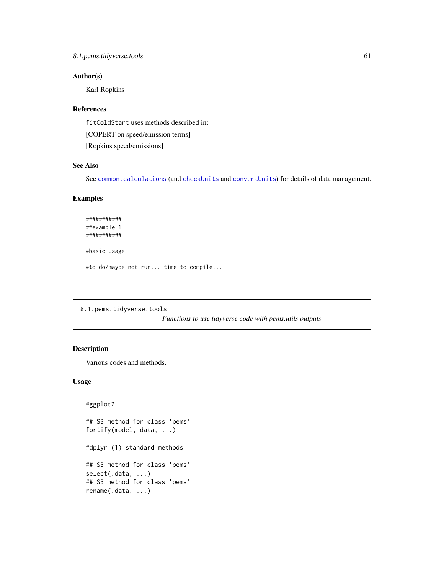### <span id="page-60-0"></span>Author(s)

Karl Ropkins

#### References

fitColdStart uses methods described in:

[COPERT on speed/emission terms]

[Ropkins speed/emissions]

### See Also

See [common.calculations](#page-39-1) (and [checkUnits](#page-42-1) and [convertUnits](#page-28-1)) for details of data management.

#### Examples

########### ##example 1 ########### #basic usage

#to do/maybe not run... time to compile...

8.1.pems.tidyverse.tools

*Functions to use tidyverse code with pems.utils outputs*

### <span id="page-60-1"></span>Description

#ggplot2

Various codes and methods.

### Usage

## S3 method for class 'pems' fortify(model, data, ...) #dplyr (1) standard methods ## S3 method for class 'pems' select(.data, ...) ## S3 method for class 'pems' rename(.data, ...)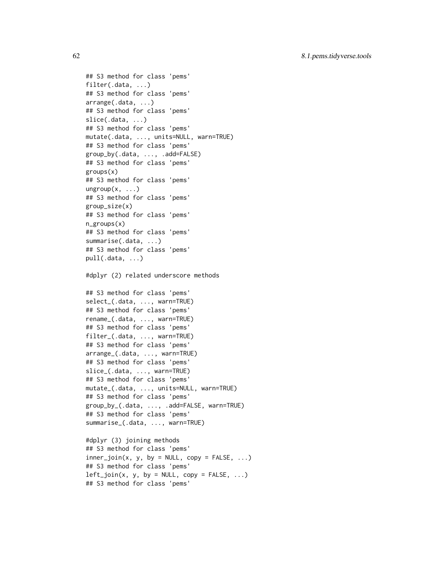```
## S3 method for class 'pems'
filter(.data, ...)
## S3 method for class 'pems'
arrange(.data, ...)
## S3 method for class 'pems'
slice(.data, ...)
## S3 method for class 'pems'
mutate(.data, ..., units=NULL, warn=TRUE)
## S3 method for class 'pems'
group_by(.data, ..., .add=FALSE)
## S3 method for class 'pems'
groups(x)
## S3 method for class 'pems'
ungroup(x, \ldots)## S3 method for class 'pems'
group_size(x)
## S3 method for class 'pems'
n_groups(x)
## S3 method for class 'pems'
summarise(.data, ...)
## S3 method for class 'pems'
pull(.data, ...)
#dplyr (2) related underscore methods
## S3 method for class 'pems'
select_(.data, ..., warn=TRUE)
## S3 method for class 'pems'
rename_(.data, ..., warn=TRUE)
## S3 method for class 'pems'
filter_(.data, ..., warn=TRUE)
## S3 method for class 'pems'
arrange_(.data, ..., warn=TRUE)
## S3 method for class 'pems'
slice_(.data, ..., warn=TRUE)
## S3 method for class 'pems'
mutate_(.data, ..., units=NULL, warn=TRUE)
## S3 method for class 'pems'
group_by_(.data, ..., .add=FALSE, warn=TRUE)
## S3 method for class 'pems'
summarise_(.data, ..., warn=TRUE)
#dplyr (3) joining methods
```

```
## S3 method for class 'pems'
inner\_join(x, y, by = NULL, copy = FALSE, ...)## S3 method for class 'pems'
left\_join(x, y, by = NULL, copy = FALSE, ...)## S3 method for class 'pems'
```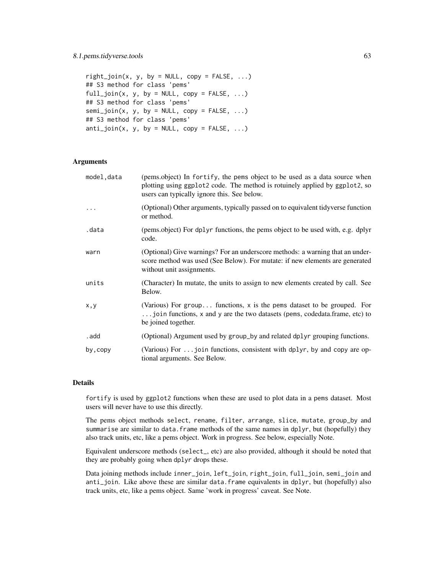```
right\_join(x, y, by = NULL, copy = FALSE, ...)## S3 method for class 'pems'
full\_join(x, y, by = NULL, copy = FALSE, ...)## S3 method for class 'pems'
semi_join(x, y, by = NULL, copy = FALSE, ...)## S3 method for class 'pems'
anti\_join(x, y, by = NULL, copy = FALSE, ...)
```
### Arguments

| model, data | (pems.object) In fortify, the pems object to be used as a data source when<br>plotting using ggplot2 code. The method is rotuinely applied by ggplot2, so<br>users can typically ignore this. See below. |
|-------------|----------------------------------------------------------------------------------------------------------------------------------------------------------------------------------------------------------|
|             | (Optional) Other arguments, typically passed on to equivalent tidyverse function<br>or method.                                                                                                           |
| .data       | (pems.object) For dplyr functions, the pems object to be used with, e.g. dplyr<br>code.                                                                                                                  |
| warn        | (Optional) Give warnings? For an underscore methods: a warning that an under-<br>score method was used (See Below). For mutate: if new elements are generated<br>without unit assignments.               |
| units       | (Character) In mutate, the units to assign to new elements created by call. See<br>Below.                                                                                                                |
| x, y        | (Various) For group functions, x is the pems dataset to be grouped. For<br>join functions, x and y are the two datasets (pems, codedata.frame, etc) to<br>be joined together.                            |
| . add       | (Optional) Argument used by group_by and related dplyr grouping functions.                                                                                                                               |
| by, copy    | (Various) For  join functions, consistent with dplyr, by and copy are op-<br>tional arguments. See Below.                                                                                                |

### Details

fortify is used by ggplot2 functions when these are used to plot data in a pems dataset. Most users will never have to use this directly.

The pems object methods select, rename, filter, arrange, slice, mutate, group\_by and summarise are similar to data.frame methods of the same names in dplyr, but (hopefully) they also track units, etc, like a pems object. Work in progress. See below, especially Note.

Equivalent underscore methods (select\_, etc) are also provided, although it should be noted that they are probably going when dplyr drops these.

Data joining methods include inner\_join, left\_join, right\_join, full\_join, semi\_join and anti\_join. Like above these are similar data.frame equivalents in dplyr, but (hopefully) also track units, etc, like a pems object. Same 'work in progress' caveat. See Note.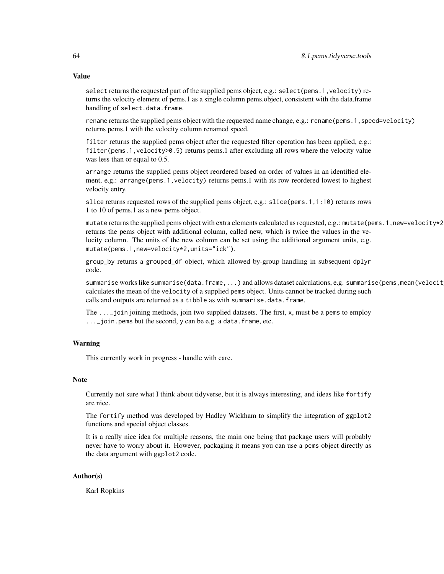#### Value

select returns the requested part of the supplied pems object, e.g.: select (pems.1, velocity) returns the velocity element of pems.1 as a single column pems.object, consistent with the data.frame handling of select.data.frame.

rename returns the supplied pems object with the requested name change, e.g.: rename(pems.1,speed=velocity) returns pems.1 with the velocity column renamed speed.

filter returns the supplied pems object after the requested filter operation has been applied, e.g.: filter(pems.1,velocity>0.5) returns pems.1 after excluding all rows where the velocity value was less than or equal to 0.5.

arrange returns the supplied pems object reordered based on order of values in an identified element, e.g.: arrange(pems.1,velocity) returns pems.1 with its row reordered lowest to highest velocity entry.

slice returns requested rows of the supplied pems object, e.g.: slice(pems.1,1:10) returns rows 1 to 10 of pems.1 as a new pems object.

mutate returns the supplied pems object with extra elements calculated as requested, e.g.: mutate(pems.1,new=velocity\*2) returns the pems object with additional column, called new, which is twice the values in the velocity column. The units of the new column can be set using the additional argument units, e.g. mutate(pems.1,new=velocity\*2,units="ick").

group\_by returns a grouped\_df object, which allowed by-group handling in subsequent dplyr code.

summarise works like summarise(data.frame,...) and allows dataset calculations, e.g. summarise(pems, mean(velocit calculates the mean of the velocity of a supplied pems object. Units cannot be tracked during such calls and outputs are returned as a tibble as with summarise.data.frame.

The  $\dots$  join joining methods, join two supplied datasets. The first, x, must be a pems to employ ...\_join.pems but the second, y can be e.g. a data.frame, etc.

### Warning

This currently work in progress - handle with care.

### Note

Currently not sure what I think about tidyverse, but it is always interesting, and ideas like fortify are nice.

The fortify method was developed by Hadley Wickham to simplify the integration of ggplot2 functions and special object classes.

It is a really nice idea for multiple reasons, the main one being that package users will probably never have to worry about it. However, packaging it means you can use a pems object directly as the data argument with ggplot2 code.

#### Author(s)

Karl Ropkins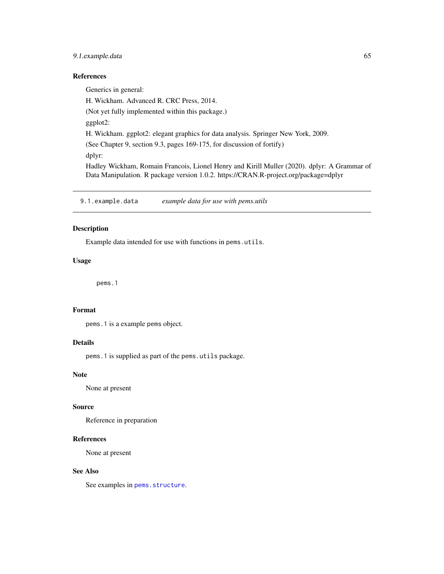### <span id="page-64-0"></span>9.1.example.data 65

### References

Generics in general: H. Wickham. Advanced R. CRC Press, 2014. (Not yet fully implemented within this package.) ggplot2: H. Wickham. ggplot2: elegant graphics for data analysis. Springer New York, 2009. (See Chapter 9, section 9.3, pages 169-175, for discussion of fortify) dplyr: Hadley Wickham, Romain Francois, Lionel Henry and Kirill Muller (2020). dplyr: A Grammar of Data Manipulation. R package version 1.0.2. https://CRAN.R-project.org/package=dplyr

9.1.example.data *example data for use with pems.utils*

#### <span id="page-64-1"></span>Description

Example data intended for use with functions in pems.utils.

#### Usage

pems.1

### Format

pems.1 is a example pems object.

### Details

pems.1 is supplied as part of the pems.utils package.

### Note

None at present

#### Source

Reference in preparation

### References

None at present

### See Also

See examples in [pems.structure](#page-10-1).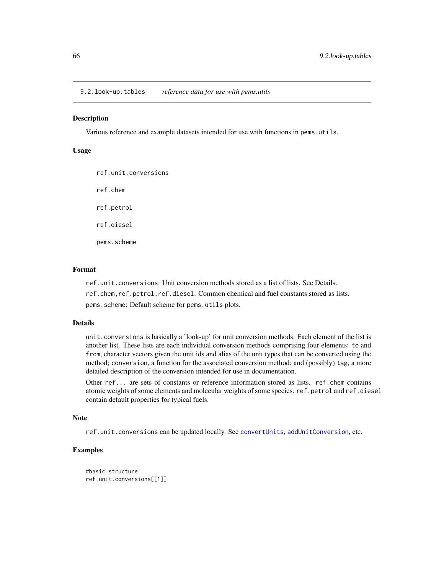<span id="page-65-0"></span>9.2.look-up.tables *reference data for use with pems.utils*

#### <span id="page-65-1"></span>**Description**

Various reference and example datasets intended for use with functions in pems.utils.

### Usage

ref.unit.conversions ref.chem ref.petrol ref.diesel pems.scheme

#### Format

ref.unit.conversions: Unit conversion methods stored as a list of lists. See Details.

ref.chem,ref.petrol,ref.diesel: Common chemical and fuel constants stored as lists.

pems.scheme: Default scheme for pems.utils plots.

#### Details

unit.conversions is basically a 'look-up' for unit conversion methods. Each element of the list is another list. These lists are each individual conversion methods comprising four elements: to and from, character vectors given the unit ids and alias of the unit types that can be converted using the method; conversion, a function for the associated conversion method; and (possibly) tag, a more detailed description of the conversion intended for use in documentation.

Other ref... are sets of constants or reference information stored as lists. ref.chem contains atomic weights of some elements and molecular weights of some species. ref.petrol and ref.diesel contain default properties for typical fuels.

### Note

ref.unit.conversions can be updated locally. See [convertUnits](#page-28-1), [addUnitConversion](#page-28-1), etc.

### Examples

```
#basic structure
ref.unit.conversions[[1]]
```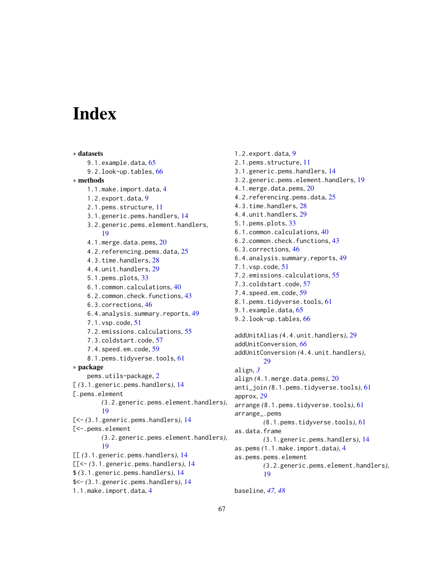# <span id="page-66-0"></span>**Index**

∗ datasets 9.1.example.data, [65](#page-64-0) 9.2.look-up.tables, [66](#page-65-0) ∗ methods 1.1.make.import.data, [4](#page-3-0) 1.2.export.data, [9](#page-8-0) 2.1.pems.structure, [11](#page-10-0) 3.1.generic.pems.handlers, [14](#page-13-0) 3.2.generic.pems.element.handlers, [19](#page-18-0) 4.1.merge.data.pems, [20](#page-19-0) 4.2.referencing.pems.data, [25](#page-24-0) 4.3.time.handlers, [28](#page-27-0) 4.4.unit.handlers, [29](#page-28-0) 5.1.pems.plots, [33](#page-32-0) 6.1.common.calculations, [40](#page-39-0) 6.2.common.check.functions, [43](#page-42-0) 6.3.corrections, [46](#page-45-0) 6.4.analysis.summary.reports, [49](#page-48-0) 7.1.vsp.code, [51](#page-50-0) 7.2.emissions.calculations, [55](#page-54-0) 7.3.coldstart.code, [57](#page-56-0) 7.4.speed.em.code, [59](#page-58-0) 8.1.pems.tidyverse.tools, [61](#page-60-0) ∗ package pems.utils-package, [2](#page-1-0) [ *(*3.1.generic.pems.handlers*)*, [14](#page-13-0) [.pems.element *(*3.2.generic.pems.element.handlers*)*, [19](#page-18-0) [<- *(*3.1.generic.pems.handlers*)*, [14](#page-13-0) [<-.pems.element *(*3.2.generic.pems.element.handlers*)*, [19](#page-18-0) [[ *(*3.1.generic.pems.handlers*)*, [14](#page-13-0) [[<- *(*3.1.generic.pems.handlers*)*, [14](#page-13-0) \$ *(*3.1.generic.pems.handlers*)*, [14](#page-13-0) \$<- *(*3.1.generic.pems.handlers*)*, [14](#page-13-0) 1.1.make.import.data, [4](#page-3-0)

1.2.export.data, [9](#page-8-0) 2.1.pems.structure, [11](#page-10-0) 3.1.generic.pems.handlers, [14](#page-13-0) 3.2.generic.pems.element.handlers, [19](#page-18-0) 4.1.merge.data.pems, [20](#page-19-0) 4.2.referencing.pems.data, [25](#page-24-0) 4.3.time.handlers, [28](#page-27-0) 4.4.unit.handlers, [29](#page-28-0) 5.1.pems.plots, [33](#page-32-0) 6.1.common.calculations, [40](#page-39-0) 6.2.common.check.functions, [43](#page-42-0) 6.3.corrections, [46](#page-45-0) 6.4.analysis.summary.reports, [49](#page-48-0) 7.1.vsp.code, [51](#page-50-0) 7.2.emissions.calculations, [55](#page-54-0) 7.3.coldstart.code, [57](#page-56-0) 7.4.speed.em.code, [59](#page-58-0) 8.1.pems.tidyverse.tools, [61](#page-60-0) 9.1.example.data, [65](#page-64-0) 9.2.look-up.tables, [66](#page-65-0) addUnitAlias *(*4.4.unit.handlers*)*, [29](#page-28-0) addUnitConversion, *[66](#page-65-0)* addUnitConversion *(*4.4.unit.handlers*)*, [29](#page-28-0) align, *[3](#page-2-0)* align *(*4.1.merge.data.pems*)*, [20](#page-19-0) anti\_join *(*8.1.pems.tidyverse.tools*)*, [61](#page-60-0) approx, *[29](#page-28-0)* arrange *(*8.1.pems.tidyverse.tools*)*, [61](#page-60-0) arrange\_.pems *(*8.1.pems.tidyverse.tools*)*, [61](#page-60-0) as.data.frame *(*3.1.generic.pems.handlers*)*, [14](#page-13-0) as.pems *(*1.1.make.import.data*)*, [4](#page-3-0) as.pems.pems.element *(*3.2.generic.pems.element.handlers*)*, [19](#page-18-0)

baseline, *[47,](#page-46-0) [48](#page-47-0)*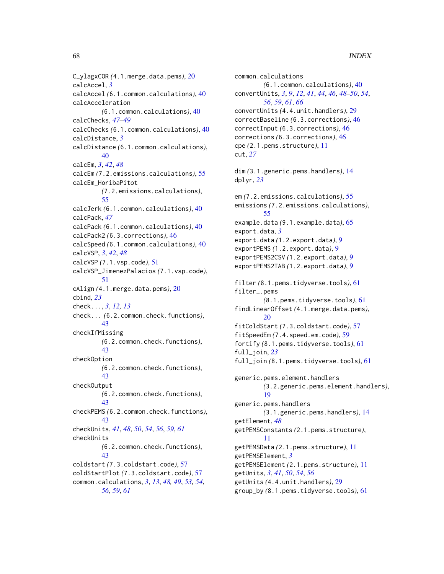C\_ylagxCOR *(*4.1.merge.data.pems*)*, [20](#page-19-0) calcAccel, *[3](#page-2-0)* calcAccel *(*6.1.common.calculations*)*, [40](#page-39-0) calcAcceleration *(*6.1.common.calculations*)*, [40](#page-39-0) calcChecks, *[47](#page-46-0)[–49](#page-48-0)* calcChecks *(*6.1.common.calculations*)*, [40](#page-39-0) calcDistance, *[3](#page-2-0)* calcDistance *(*6.1.common.calculations*)*, [40](#page-39-0) calcEm, *[3](#page-2-0)*, *[42](#page-41-0)*, *[48](#page-47-0)* calcEm *(*7.2.emissions.calculations*)*, [55](#page-54-0) calcEm\_HoribaPitot *(*7.2.emissions.calculations*)*, [55](#page-54-0) calcJerk *(*6.1.common.calculations*)*, [40](#page-39-0) calcPack, *[47](#page-46-0)* calcPack *(*6.1.common.calculations*)*, [40](#page-39-0) calcPack2 *(*6.3.corrections*)*, [46](#page-45-0) calcSpeed *(*6.1.common.calculations*)*, [40](#page-39-0) calcVSP, *[3](#page-2-0)*, *[42](#page-41-0)*, *[48](#page-47-0)* calcVSP *(*7.1.vsp.code*)*, [51](#page-50-0) calcVSP\_JimenezPalacios *(*7.1.vsp.code*)*, [51](#page-50-0) cAlign *(*4.1.merge.data.pems*)*, [20](#page-19-0) cbind, *[23](#page-22-0)* check..., *[3](#page-2-0)*, *[12,](#page-11-0) [13](#page-12-0)* check... *(*6.2.common.check.functions*)*, [43](#page-42-0) checkIfMissing *(*6.2.common.check.functions*)*, [43](#page-42-0) checkOption *(*6.2.common.check.functions*)*, [43](#page-42-0) checkOutput *(*6.2.common.check.functions*)*, [43](#page-42-0) checkPEMS *(*6.2.common.check.functions*)*, [43](#page-42-0) checkUnits, *[41](#page-40-0)*, *[48](#page-47-0)*, *[50](#page-49-0)*, *[54](#page-53-0)*, *[56](#page-55-0)*, *[59](#page-58-0)*, *[61](#page-60-0)* checkUnits *(*6.2.common.check.functions*)*, [43](#page-42-0) coldstart *(*7.3.coldstart.code*)*, [57](#page-56-0) coldStartPlot *(*7.3.coldstart.code*)*, [57](#page-56-0) common.calculations, *[3](#page-2-0)*, *[13](#page-12-0)*, *[48,](#page-47-0) [49](#page-48-0)*, *[53,](#page-52-0) [54](#page-53-0)*, *[56](#page-55-0)*, *[59](#page-58-0)*, *[61](#page-60-0)*

common.calculations *(*6.1.common.calculations*)*, [40](#page-39-0) convertUnits, *[3](#page-2-0)*, *[9](#page-8-0)*, *[12](#page-11-0)*, *[41](#page-40-0)*, *[44](#page-43-0)*, *[46](#page-45-0)*, *[48](#page-47-0)[–50](#page-49-0)*, *[54](#page-53-0)*, *[56](#page-55-0)*, *[59](#page-58-0)*, *[61](#page-60-0)*, *[66](#page-65-0)* convertUnits *(*4.4.unit.handlers*)*, [29](#page-28-0) correctBaseline *(*6.3.corrections*)*, [46](#page-45-0) correctInput *(*6.3.corrections*)*, [46](#page-45-0) corrections *(*6.3.corrections*)*, [46](#page-45-0) cpe *(*2.1.pems.structure*)*, [11](#page-10-0) cut, *[27](#page-26-0)* dim *(*3.1.generic.pems.handlers*)*, [14](#page-13-0) dplyr, *[23](#page-22-0)* em *(*7.2.emissions.calculations*)*, [55](#page-54-0) emissions *(*7.2.emissions.calculations*)*, [55](#page-54-0) example.data *(*9.1.example.data*)*, [65](#page-64-0) export.data, *[3](#page-2-0)* export.data *(*1.2.export.data*)*, [9](#page-8-0) exportPEMS *(*1.2.export.data*)*, [9](#page-8-0) exportPEMS2CSV *(*1.2.export.data*)*, [9](#page-8-0) exportPEMS2TAB *(*1.2.export.data*)*, [9](#page-8-0) filter *(*8.1.pems.tidyverse.tools*)*, [61](#page-60-0) filter\_.pems *(*8.1.pems.tidyverse.tools*)*, [61](#page-60-0) findLinearOffset *(*4.1.merge.data.pems*)*, [20](#page-19-0) fitColdStart *(*7.3.coldstart.code*)*, [57](#page-56-0) fitSpeedEm *(*7.4.speed.em.code*)*, [59](#page-58-0) fortify *(*8.1.pems.tidyverse.tools*)*, [61](#page-60-0) full\_join, *[23](#page-22-0)* full\_join *(*8.1.pems.tidyverse.tools*)*, [61](#page-60-0) generic.pems.element.handlers *(*3.2.generic.pems.element.handlers*)*, [19](#page-18-0) generic.pems.handlers *(*3.1.generic.pems.handlers*)*, [14](#page-13-0) getElement, *[48](#page-47-0)* getPEMSConstants *(*2.1.pems.structure*)*, [11](#page-10-0) getPEMSData *(*2.1.pems.structure*)*, [11](#page-10-0) getPEMSElement, *[3](#page-2-0)* getPEMSElement *(*2.1.pems.structure*)*, [11](#page-10-0) getUnits, *[3](#page-2-0)*, *[41](#page-40-0)*, *[50](#page-49-0)*, *[54](#page-53-0)*, *[56](#page-55-0)* getUnits *(*4.4.unit.handlers*)*, [29](#page-28-0) group\_by *(*8.1.pems.tidyverse.tools*)*, [61](#page-60-0)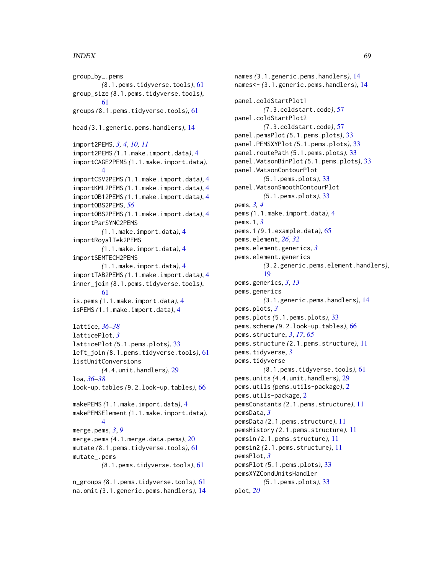### INDEX  $\sim$  69

group\_by\_.pems *(*8.1.pems.tidyverse.tools*)*, [61](#page-60-0) group\_size *(*8.1.pems.tidyverse.tools*)*, [61](#page-60-0) groups *(*8.1.pems.tidyverse.tools*)*, [61](#page-60-0) head *(*3.1.generic.pems.handlers*)*, [14](#page-13-0) import2PEMS, *[3,](#page-2-0) [4](#page-3-0)*, *[10,](#page-9-0) [11](#page-10-0)* import2PEMS *(*1.1.make.import.data*)*, [4](#page-3-0) importCAGE2PEMS *(*1.1.make.import.data*)*, [4](#page-3-0) importCSV2PEMS *(*1.1.make.import.data*)*, [4](#page-3-0) importKML2PEMS *(*1.1.make.import.data*)*, [4](#page-3-0) importOB12PEMS *(*1.1.make.import.data*)*, [4](#page-3-0) importOBS2PEMS, *[56](#page-55-0)* importOBS2PEMS *(*1.1.make.import.data*)*, [4](#page-3-0) importParSYNC2PEMS *(*1.1.make.import.data*)*, [4](#page-3-0) importRoyalTek2PEMS *(*1.1.make.import.data*)*, [4](#page-3-0) importSEMTECH2PEMS *(*1.1.make.import.data*)*, [4](#page-3-0) importTAB2PEMS *(*1.1.make.import.data*)*, [4](#page-3-0) inner\_join *(*8.1.pems.tidyverse.tools*)*, [61](#page-60-0) is.pems *(*1.1.make.import.data*)*, [4](#page-3-0) isPEMS *(*1.1.make.import.data*)*, [4](#page-3-0) lattice, *[36](#page-35-0)[–38](#page-37-0)* latticePlot, *[3](#page-2-0)* latticePlot *(*5.1.pems.plots*)*, [33](#page-32-0) left\_join *(*8.1.pems.tidyverse.tools*)*, [61](#page-60-0) listUnitConversions *(*4.4.unit.handlers*)*, [29](#page-28-0) loa, *[36](#page-35-0)[–38](#page-37-0)* look-up.tables *(*9.2.look-up.tables*)*, [66](#page-65-0) makePEMS *(*1.1.make.import.data*)*, [4](#page-3-0) makePEMSElement *(*1.1.make.import.data*)*, [4](#page-3-0) merge.pems, *[3](#page-2-0)*, *[9](#page-8-0)* merge.pems *(*4.1.merge.data.pems*)*, [20](#page-19-0) mutate *(*8.1.pems.tidyverse.tools*)*, [61](#page-60-0) mutate\_.pems *(*8.1.pems.tidyverse.tools*)*, [61](#page-60-0) n\_groups *(*8.1.pems.tidyverse.tools*)*, [61](#page-60-0)

na.omit *(*3.1.generic.pems.handlers*)*, [14](#page-13-0)

names *(*3.1.generic.pems.handlers*)*, [14](#page-13-0) names<- *(*3.1.generic.pems.handlers*)*, [14](#page-13-0) panel.coldStartPlot1 *(*7.3.coldstart.code*)*, [57](#page-56-0) panel.coldStartPlot2 *(*7.3.coldstart.code*)*, [57](#page-56-0) panel.pemsPlot *(*5.1.pems.plots*)*, [33](#page-32-0) panel.PEMSXYPlot *(*5.1.pems.plots*)*, [33](#page-32-0) panel.routePath *(*5.1.pems.plots*)*, [33](#page-32-0) panel.WatsonBinPlot *(*5.1.pems.plots*)*, [33](#page-32-0) panel.WatsonContourPlot *(*5.1.pems.plots*)*, [33](#page-32-0) panel.WatsonSmoothContourPlot *(*5.1.pems.plots*)*, [33](#page-32-0) pems, *[3,](#page-2-0) [4](#page-3-0)* pems *(*1.1.make.import.data*)*, [4](#page-3-0) pems.1, *[3](#page-2-0)* pems.1 *(*9.1.example.data*)*, [65](#page-64-0) pems.element, *[26](#page-25-0)*, *[32](#page-31-0)* pems.element.generics, *[3](#page-2-0)* pems.element.generics *(*3.2.generic.pems.element.handlers*)*, [19](#page-18-0) pems.generics, *[3](#page-2-0)*, *[13](#page-12-0)* pems.generics *(*3.1.generic.pems.handlers*)*, [14](#page-13-0) pems.plots, *[3](#page-2-0)* pems.plots *(*5.1.pems.plots*)*, [33](#page-32-0) pems.scheme *(*9.2.look-up.tables*)*, [66](#page-65-0) pems.structure, *[3](#page-2-0)*, *[17](#page-16-0)*, *[65](#page-64-0)* pems.structure *(*2.1.pems.structure*)*, [11](#page-10-0) pems.tidyverse, *[3](#page-2-0)* pems.tidyverse *(*8.1.pems.tidyverse.tools*)*, [61](#page-60-0) pems.units *(*4.4.unit.handlers*)*, [29](#page-28-0) pems.utils *(*pems.utils-package*)*, [2](#page-1-0) pems.utils-package, [2](#page-1-0) pemsConstants *(*2.1.pems.structure*)*, [11](#page-10-0) pemsData, *[3](#page-2-0)* pemsData *(*2.1.pems.structure*)*, [11](#page-10-0) pemsHistory *(*2.1.pems.structure*)*, [11](#page-10-0) pemsin *(*2.1.pems.structure*)*, [11](#page-10-0) pemsin2 *(*2.1.pems.structure*)*, [11](#page-10-0) pemsPlot, *[3](#page-2-0)* pemsPlot *(*5.1.pems.plots*)*, [33](#page-32-0) pemsXYZCondUnitsHandler *(*5.1.pems.plots*)*, [33](#page-32-0) plot, *[20](#page-19-0)*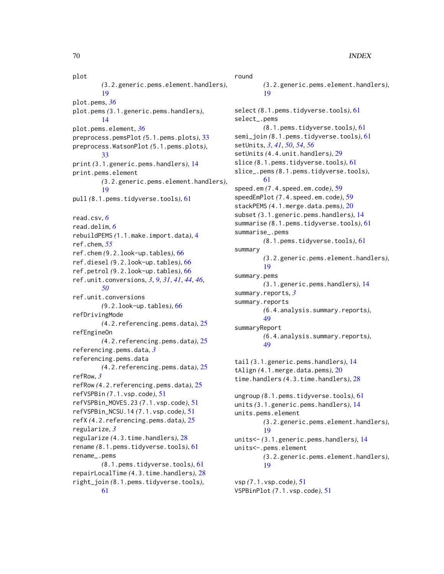plot *(*3.2.generic.pems.element.handlers*)*, [19](#page-18-0) plot.pems, *[36](#page-35-0)* plot.pems *(*3.1.generic.pems.handlers*)*, [14](#page-13-0) plot.pems.element, *[36](#page-35-0)* preprocess.pemsPlot *(*5.1.pems.plots*)*, [33](#page-32-0) preprocess.WatsonPlot *(*5.1.pems.plots*)*, [33](#page-32-0) print *(*3.1.generic.pems.handlers*)*, [14](#page-13-0) print.pems.element *(*3.2.generic.pems.element.handlers*)*, [19](#page-18-0) pull *(*8.1.pems.tidyverse.tools*)*, [61](#page-60-0) read.csv, *[6](#page-5-0)* read.delim, *[6](#page-5-0)* rebuildPEMS *(*1.1.make.import.data*)*, [4](#page-3-0) ref.chem, *[55](#page-54-0)* ref.chem *(*9.2.look-up.tables*)*, [66](#page-65-0) ref.diesel *(*9.2.look-up.tables*)*, [66](#page-65-0) ref.petrol *(*9.2.look-up.tables*)*, [66](#page-65-0) ref.unit.conversions, *[3](#page-2-0)*, *[9](#page-8-0)*, *[31](#page-30-0)*, *[41](#page-40-0)*, *[44](#page-43-0)*, *[46](#page-45-0)*, *[50](#page-49-0)* ref.unit.conversions *(*9.2.look-up.tables*)*, [66](#page-65-0) refDrivingMode *(*4.2.referencing.pems.data*)*, [25](#page-24-0) refEngineOn *(*4.2.referencing.pems.data*)*, [25](#page-24-0) referencing.pems.data, *[3](#page-2-0)* referencing.pems.data *(*4.2.referencing.pems.data*)*, [25](#page-24-0) refRow, *[3](#page-2-0)* refRow *(*4.2.referencing.pems.data*)*, [25](#page-24-0) refVSPBin *(*7.1.vsp.code*)*, [51](#page-50-0) refVSPBin\_MOVES.23 *(*7.1.vsp.code*)*, [51](#page-50-0) refVSPBin\_NCSU.14 *(*7.1.vsp.code*)*, [51](#page-50-0) refX *(*4.2.referencing.pems.data*)*, [25](#page-24-0) regularize, *[3](#page-2-0)* regularize *(*4.3.time.handlers*)*, [28](#page-27-0) rename *(*8.1.pems.tidyverse.tools*)*, [61](#page-60-0) rename\_.pems *(*8.1.pems.tidyverse.tools*)*, [61](#page-60-0) repairLocalTime *(*4.3.time.handlers*)*, [28](#page-27-0) right\_join *(*8.1.pems.tidyverse.tools*)*,

round *(*3.2.generic.pems.element.handlers*)*, [19](#page-18-0) select *(*8.1.pems.tidyverse.tools*)*, [61](#page-60-0) select\_.pems *(*8.1.pems.tidyverse.tools*)*, [61](#page-60-0) semi\_join *(*8.1.pems.tidyverse.tools*)*, [61](#page-60-0) setUnits, *[3](#page-2-0)*, *[41](#page-40-0)*, *[50](#page-49-0)*, *[54](#page-53-0)*, *[56](#page-55-0)* setUnits *(*4.4.unit.handlers*)*, [29](#page-28-0) slice *(*8.1.pems.tidyverse.tools*)*, [61](#page-60-0) slice\_.pems *(*8.1.pems.tidyverse.tools*)*, [61](#page-60-0) speed.em *(*7.4.speed.em.code*)*, [59](#page-58-0) speedEmPlot *(*7.4.speed.em.code*)*, [59](#page-58-0) stackPEMS *(*4.1.merge.data.pems*)*, [20](#page-19-0) subset *(*3.1.generic.pems.handlers*)*, [14](#page-13-0) summarise *(*8.1.pems.tidyverse.tools*)*, [61](#page-60-0) summarise\_.pems *(*8.1.pems.tidyverse.tools*)*, [61](#page-60-0) summary *(*3.2.generic.pems.element.handlers*)*, [19](#page-18-0) summary.pems *(*3.1.generic.pems.handlers*)*, [14](#page-13-0) summary.reports, *[3](#page-2-0)* summary.reports *(*6.4.analysis.summary.reports*)*, [49](#page-48-0) summaryReport *(*6.4.analysis.summary.reports*)*, [49](#page-48-0) tail *(*3.1.generic.pems.handlers*)*, [14](#page-13-0) tAlign *(*4.1.merge.data.pems*)*, [20](#page-19-0) time.handlers *(*4.3.time.handlers*)*, [28](#page-27-0) ungroup *(*8.1.pems.tidyverse.tools*)*, [61](#page-60-0) units *(*3.1.generic.pems.handlers*)*, [14](#page-13-0) units.pems.element *(*3.2.generic.pems.element.handlers*)*, [19](#page-18-0) units<- *(*3.1.generic.pems.handlers*)*, [14](#page-13-0) units<-.pems.element *(*3.2.generic.pems.element.handlers*)*, [19](#page-18-0) vsp *(*7.1.vsp.code*)*, [51](#page-50-0)

VSPBinPlot *(*7.1.vsp.code*)*, [51](#page-50-0)

[61](#page-60-0)